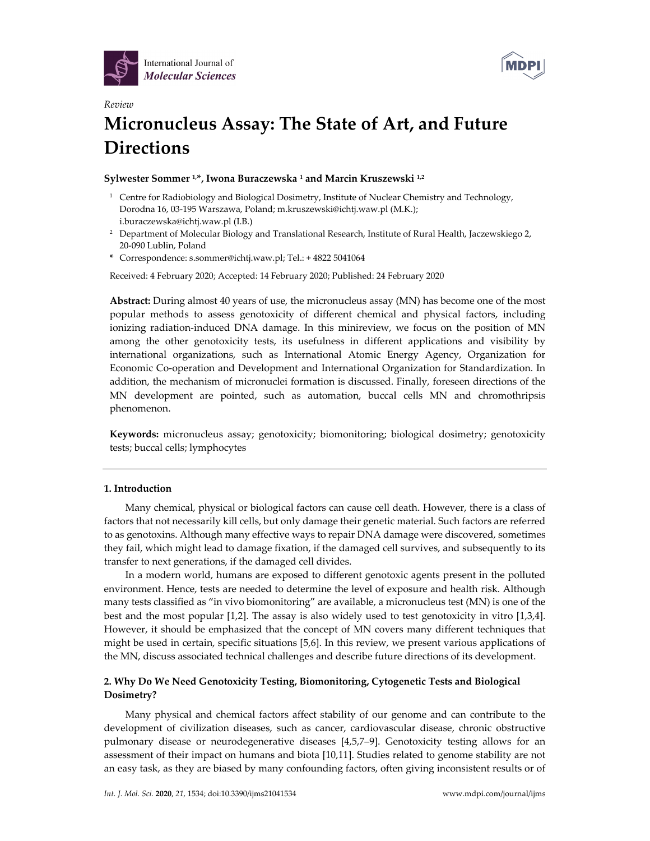



# *Review* **Micronucleus Assay: The State of Art, and Future Directions**

# **Sylwester Sommer 1,\*, Iwona Buraczewska <sup>1</sup> and Marcin Kruszewski 1,2**

- <sup>1</sup> Centre for Radiobiology and Biological Dosimetry, Institute of Nuclear Chemistry and Technology, Dorodna 16, 03‐195 Warszawa, Poland; m.kruszewski@ichtj.waw.pl (M.K.); i.buraczewska@ichtj.waw.pl (I.B.)
- <sup>2</sup> Department of Molecular Biology and Translational Research, Institute of Rural Health, Jaczewskiego 2, 20‐090 Lublin, Poland
- **\*** Correspondence: s.sommer@ichtj.waw.pl; Tel.: + 4822 5041064

Received: 4 February 2020; Accepted: 14 February 2020; Published: 24 February 2020

**Abstract:** During almost 40 years of use, the micronucleus assay (MN) has become one of the most popular methods to assess genotoxicity of different chemical and physical factors, including ionizing radiation‐induced DNA damage. In this minireview, we focus on the position of MN among the other genotoxicity tests, its usefulness in different applications and visibility by international organizations, such as International Atomic Energy Agency, Organization for Economic Co‐operation and Development and International Organization for Standardization. In addition, the mechanism of micronuclei formation is discussed. Finally, foreseen directions of the MN development are pointed, such as automation, buccal cells MN and chromothripsis phenomenon.

**Keywords:** micronucleus assay; genotoxicity; biomonitoring; biological dosimetry; genotoxicity tests; buccal cells; lymphocytes

## **1. Introduction**

Many chemical, physical or biological factors can cause cell death. However, there is a class of factors that not necessarily kill cells, but only damage their genetic material. Such factors are referred to as genotoxins. Although many effective ways to repair DNA damage were discovered, sometimes they fail, which might lead to damage fixation, if the damaged cell survives, and subsequently to its transfer to next generations, if the damaged cell divides.

In a modern world, humans are exposed to different genotoxic agents present in the polluted environment. Hence, tests are needed to determine the level of exposure and health risk. Although many tests classified as "in vivo biomonitoring" are available, a micronucleus test (MN) is one of the best and the most popular [1,2]. The assay is also widely used to test genotoxicity in vitro [1,3,4]. However, it should be emphasized that the concept of MN covers many different techniques that might be used in certain, specific situations [5,6]. In this review, we present various applications of the MN, discuss associated technical challenges and describe future directions of its development.

# **2. Why Do We Need Genotoxicity Testing, Biomonitoring, Cytogenetic Tests and Biological Dosimetry?**

Many physical and chemical factors affect stability of our genome and can contribute to the development of civilization diseases, such as cancer, cardiovascular disease, chronic obstructive pulmonary disease or neurodegenerative diseases [4,5,7–9]. Genotoxicity testing allows for an assessment of their impact on humans and biota [10,11]. Studies related to genome stability are not an easy task, as they are biased by many confounding factors, often giving inconsistent results or of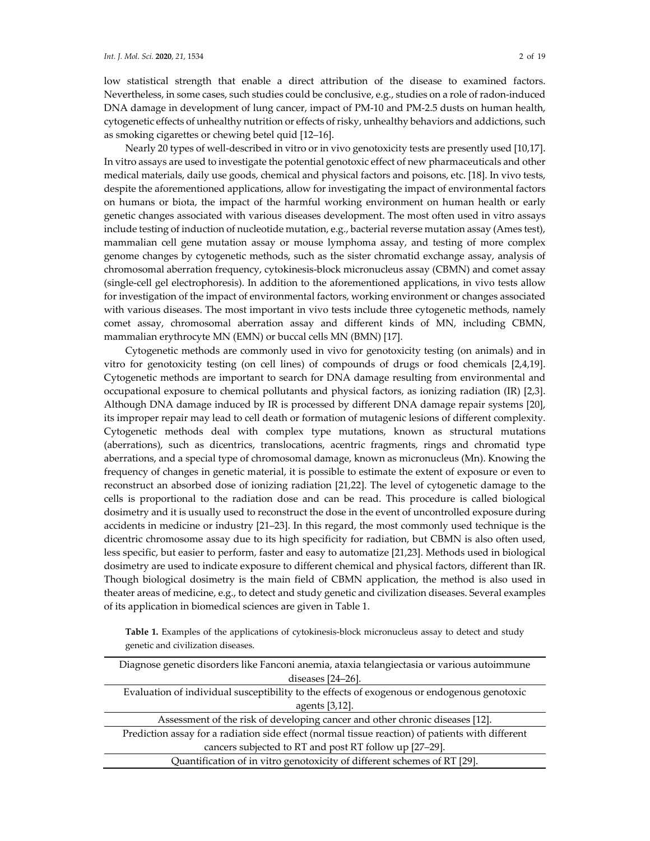low statistical strength that enable a direct attribution of the disease to examined factors. Nevertheless, in some cases, such studies could be conclusive, e.g., studies on a role of radon‐induced DNA damage in development of lung cancer, impact of PM‐10 and PM‐2.5 dusts on human health, cytogenetic effects of unhealthy nutrition or effects ofrisky, unhealthy behaviors and addictions, such as smoking cigarettes or chewing betel quid [12–16].

Nearly 20 types of well‐described in vitro or in vivo genotoxicity tests are presently used [10,17]. In vitro assays are used to investigate the potential genotoxic effect of new pharmaceuticals and other medical materials, daily use goods, chemical and physical factors and poisons, etc. [18]. In vivo tests, despite the aforementioned applications, allow for investigating the impact of environmental factors on humans or biota, the impact of the harmful working environment on human health or early genetic changes associated with various diseases development. The most often used in vitro assays include testing of induction of nucleotide mutation, e.g., bacterial reverse mutation assay (Ames test), mammalian cell gene mutation assay or mouse lymphoma assay, and testing of more complex genome changes by cytogenetic methods, such as the sister chromatid exchange assay, analysis of chromosomal aberration frequency, cytokinesis‐block micronucleus assay (CBMN) and comet assay (single‐cell gel electrophoresis). In addition to the aforementioned applications, in vivo tests allow for investigation of the impact of environmental factors, working environment or changes associated with various diseases. The most important in vivo tests include three cytogenetic methods, namely comet assay, chromosomal aberration assay and different kinds of MN, including CBMN, mammalian erythrocyte MN (EMN) or buccal cells MN (BMN) [17].

Cytogenetic methods are commonly used in vivo for genotoxicity testing (on animals) and in vitro for genotoxicity testing (on cell lines) of compounds of drugs or food chemicals [2,4,19]. Cytogenetic methods are important to search for DNA damage resulting from environmental and occupational exposure to chemical pollutants and physical factors, as ionizing radiation (IR) [2,3]. Although DNA damage induced by IR is processed by different DNA damage repair systems [20], its improper repair may lead to cell death or formation of mutagenic lesions of different complexity. Cytogenetic methods deal with complex type mutations, known as structural mutations (aberrations), such as dicentrics, translocations, acentric fragments, rings and chromatid type aberrations, and a special type of chromosomal damage, known as micronucleus (Mn). Knowing the frequency of changes in genetic material, it is possible to estimate the extent of exposure or even to reconstruct an absorbed dose of ionizing radiation [21,22]. The level of cytogenetic damage to the cells is proportional to the radiation dose and can be read. This procedure is called biological dosimetry and it is usually used to reconstruct the dose in the event of uncontrolled exposure during accidents in medicine or industry [21–23]. In this regard, the most commonly used technique is the dicentric chromosome assay due to its high specificity for radiation, but CBMN is also often used, less specific, but easier to perform, faster and easy to automatize [21,23]. Methods used in biological dosimetry are used to indicate exposure to different chemical and physical factors, different than IR. Though biological dosimetry is the main field of CBMN application, the method is also used in theater areas of medicine, e.g., to detect and study genetic and civilization diseases. Several examples of its application in biomedical sciences are given in Table 1.

**Table 1.** Examples of the applications of cytokinesis‐block micronucleus assay to detect and study genetic and civilization diseases.

| Diagnose genetic disorders like Fanconi anemia, ataxia telangiectasia or various autoimmune      |
|--------------------------------------------------------------------------------------------------|
| diseases $[24-26]$ .                                                                             |
| Evaluation of individual susceptibility to the effects of exogenous or endogenous genotoxic      |
| agents $[3,12]$ .                                                                                |
| Assessment of the risk of developing cancer and other chronic diseases [12].                     |
| Prediction assay for a radiation side effect (normal tissue reaction) of patients with different |
| cancers subjected to RT and post RT follow up [27-29].                                           |
| Quantification of in vitro genotoxicity of different schemes of RT [29].                         |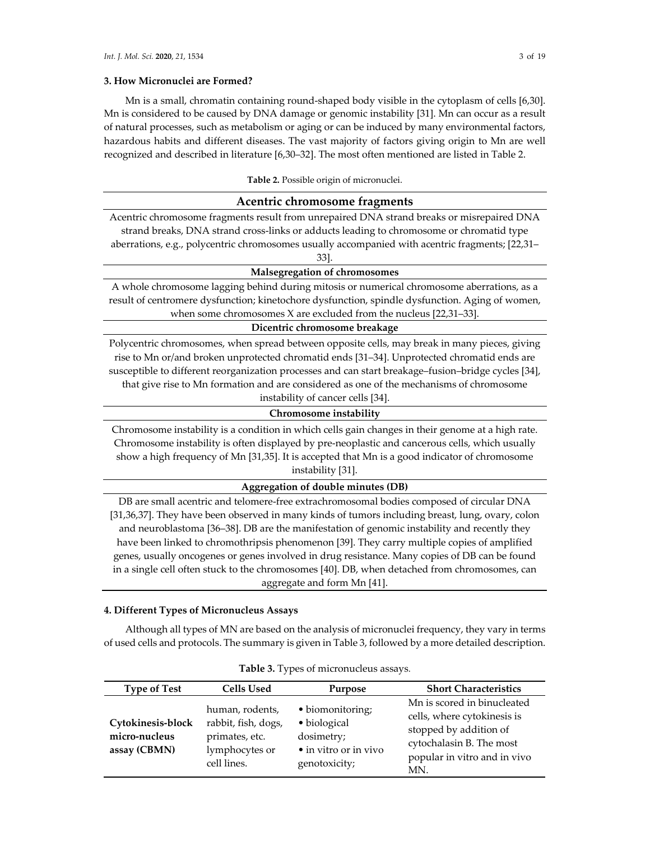#### **3. How Micronuclei are Formed?**

Mn is a small, chromatin containing round-shaped body visible in the cytoplasm of cells [6,30]. Mn is considered to be caused by DNA damage or genomic instability [31]. Mn can occur as a result of natural processes, such as metabolism or aging or can be induced by many environmental factors, hazardous habits and different diseases. The vast majority of factors giving origin to Mn are well recognized and described in literature [6,30–32]. The most often mentioned are listed in Table 2.

|  |  |  | Table 2. Possible origin of micronuclei. |
|--|--|--|------------------------------------------|
|--|--|--|------------------------------------------|

| Acentric chromosome fragments                                                                   |  |  |
|-------------------------------------------------------------------------------------------------|--|--|
| Acentric chromosome fragments result from unrepaired DNA strand breaks or misrepaired DNA       |  |  |
| strand breaks, DNA strand cross-links or adducts leading to chromosome or chromatid type        |  |  |
| aberrations, e.g., polycentric chromosomes usually accompanied with acentric fragments; [22,31- |  |  |
| 331.                                                                                            |  |  |
| Malsegregation of chromosomes                                                                   |  |  |
| A whole chromosome lagging behind during mitosis or numerical chromosome aberrations, as a      |  |  |
|                                                                                                 |  |  |

result of centromere dysfunction; kinetochore dysfunction, spindle dysfunction. Aging of women, when some chromosomes X are excluded from the nucleus [22,31–33].

#### **Dicentric chromosome breakage**

Polycentric chromosomes, when spread between opposite cells, may break in many pieces, giving rise to Mn or/and broken unprotected chromatid ends [31–34]. Unprotected chromatid ends are susceptible to different reorganization processes and can start breakage–fusion–bridge cycles [34], that give rise to Mn formation and are considered as one of the mechanisms of chromosome instability of cancer cells [34].

# **Chromosome instability**

Chromosome instability is a condition in which cells gain changes in their genome at a high rate. Chromosome instability is often displayed by pre‐neoplastic and cancerous cells, which usually show a high frequency of Mn [31,35]. It is accepted that Mn is a good indicator of chromosome instability [31].

# **Aggregation of double minutes (DB)**

DB are small acentric and telomere‐free extrachromosomal bodies composed of circular DNA [31,36,37]. They have been observed in many kinds of tumors including breast, lung, ovary, colon and neuroblastoma [36–38]. DB are the manifestation of genomic instability and recently they have been linked to chromothripsis phenomenon [39]. They carry multiple copies of amplified genes, usually oncogenes or genes involved in drug resistance. Many copies of DB can be found in a single cell often stuck to the chromosomes [40]. DB, when detached from chromosomes, can aggregate and form Mn [41].

### **4. Different Types of Micronucleus Assays**

Although all types of MN are based on the analysis of micronuclei frequency, they vary in terms of used cells and protocols. The summary is given in Table 3, followed by a more detailed description.

| <b>Type of Test</b>                                | <b>Cells Used</b>                                                                         | Purpose                                                                                          | <b>Short Characteristics</b>                                                                                                                            |
|----------------------------------------------------|-------------------------------------------------------------------------------------------|--------------------------------------------------------------------------------------------------|---------------------------------------------------------------------------------------------------------------------------------------------------------|
| Cytokinesis-block<br>micro-nucleus<br>assay (CBMN) | human, rodents,<br>rabbit, fish, dogs,<br>primates, etc.<br>lymphocytes or<br>cell lines. | • biomonitoring;<br>· biological<br>dosimetry;<br>$\bullet$ in vitro or in vivo<br>genotoxicity; | Mn is scored in binucleated<br>cells, where cytokinesis is<br>stopped by addition of<br>cytochalasin B. The most<br>popular in vitro and in vivo<br>MN. |

|  |  |  |  | <b>Table 3.</b> Types of micronucleus assays. |  |  |  |
|--|--|--|--|-----------------------------------------------|--|--|--|
|--|--|--|--|-----------------------------------------------|--|--|--|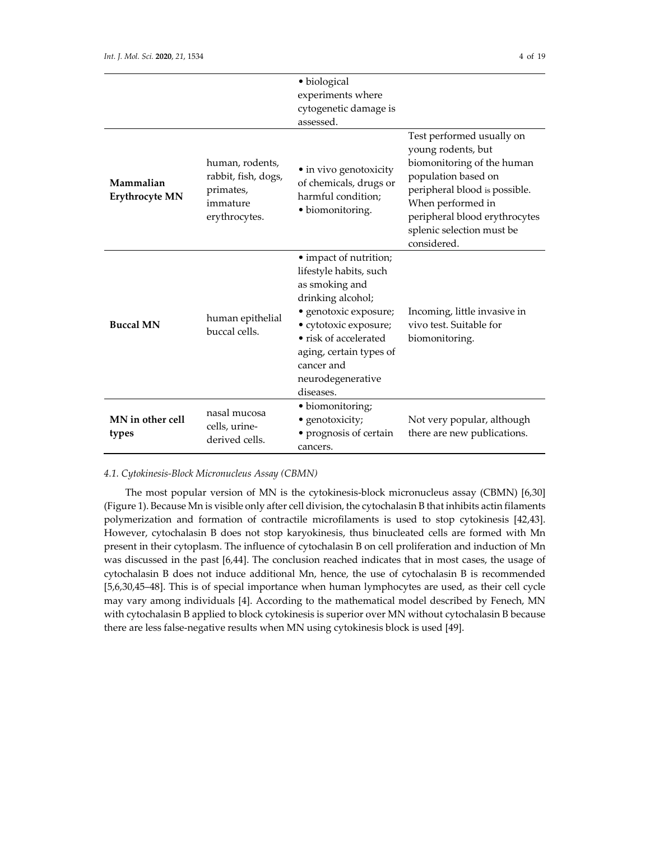|                                    |                                                                                  | · biological<br>experiments where<br>cytogenetic damage is<br>assessed.                                                                                                                                                                       |                                                                                                                                                                                                                                         |
|------------------------------------|----------------------------------------------------------------------------------|-----------------------------------------------------------------------------------------------------------------------------------------------------------------------------------------------------------------------------------------------|-----------------------------------------------------------------------------------------------------------------------------------------------------------------------------------------------------------------------------------------|
| Mammalian<br><b>Erythrocyte MN</b> | human, rodents,<br>rabbit, fish, dogs,<br>primates,<br>immature<br>erythrocytes. | • in vivo genotoxicity<br>of chemicals, drugs or<br>harmful condition;<br>· biomonitoring.                                                                                                                                                    | Test performed usually on<br>young rodents, but<br>biomonitoring of the human<br>population based on<br>peripheral blood is possible.<br>When performed in<br>peripheral blood erythrocytes<br>splenic selection must be<br>considered. |
| <b>Buccal MN</b>                   | human epithelial<br>buccal cells.                                                | • impact of nutrition;<br>lifestyle habits, such<br>as smoking and<br>drinking alcohol;<br>· genotoxic exposure;<br>· cytotoxic exposure;<br>• risk of accelerated<br>aging, certain types of<br>cancer and<br>neurodegenerative<br>diseases. | Incoming, little invasive in<br>vivo test. Suitable for<br>biomonitoring.                                                                                                                                                               |
| MN in other cell<br>types          | nasal mucosa<br>cells, urine-<br>derived cells.                                  | · biomonitoring;<br>• genotoxicity;<br>· prognosis of certain<br>cancers.                                                                                                                                                                     | Not very popular, although<br>there are new publications.                                                                                                                                                                               |

### *4.1. Cytokinesis‐Block Micronucleus Assay (CBMN)*

The most popular version of MN is the cytokinesis-block micronucleus assay (CBMN) [6,30] (Figure 1). Because Mn is visible only after cell division, the cytochalasin B that inhibits actin filaments polymerization and formation of contractile microfilaments is used to stop cytokinesis [42,43]. However, cytochalasin B does not stop karyokinesis, thus binucleated cells are formed with Mn present in their cytoplasm. The influence of cytochalasin B on cell proliferation and induction of Mn was discussed in the past [6,44]. The conclusion reached indicates that in most cases, the usage of cytochalasin B does not induce additional Mn, hence, the use of cytochalasin B is recommended [5,6,30,45–48]. This is of special importance when human lymphocytes are used, as their cell cycle may vary among individuals [4]. According to the mathematical model described by Fenech, MN with cytochalasin B applied to block cytokinesis is superior over MN without cytochalasin B because there are less false‐negative results when MN using cytokinesis block is used [49].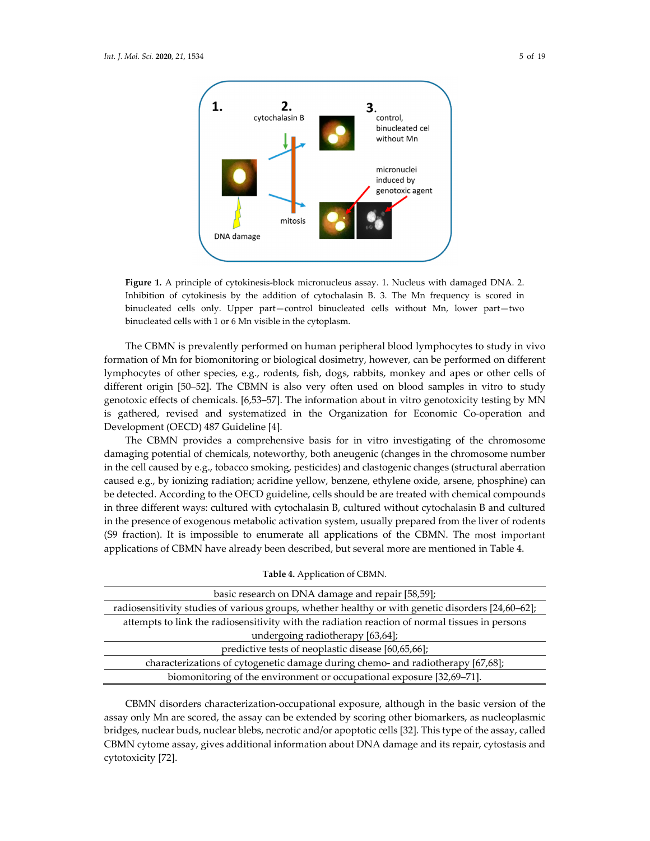



Figure 1. A principle of cytokinesis-block micronucleus assay. 1. Nucleus with damaged DNA. 2. Inhibition of cytokinesis by the addition of cytochalasin B. 3. The Mn frequency is scored in binucleated cells only. Upper part—control binucleated cells without Mn, lower part—two binucleated cells with 1 or 6 Mn visible in the cytoplasm.

The CBMN is prevalently performed on human peripheral blood lymphocytes to study in vivo formation of Mn for biomonitoring or biological dosimetry, however, can be performed on different lymphocytes of other species, e.g., rodents, fish, dogs, rabbits, monkey and apes or other cells of different origin [50–52]. The CBMN is also very often used on blood samples in vitro to study genotoxic effects of chemicals. [6,53–57]. The information about in vitro genotoxicity testing by MN is gathered, revised and systematized in the Organization for Economic Co-operation and Development (OECD) 487 Guideline [4].

The CBMN provides a comprehensive basis for in vitro investigating of the chromosome damaging potential of chemicals, noteworthy, both aneugenic (changes in the chromosome number in the cell caused by e.g., tobacco smoking, pesticides) and clastogenic changes (structural aberration caused e.g., by ionizing radiation; acridine yellow, benzene, ethylene oxide, arsene, phosphine) can be detected. According to the OECD guideline, cells should be are treated with chemical compounds in three different ways: cultured with cytochalasin B, cultured without cytochalasin B and cultured in the presence of exogenous metabolic activation system, usually prepared from the liver of rodents (S9 fraction). It is impossible to enumerate all applications of the CBMN. The most important applications of CBMN have already been described, but several more are mentioned in Table 4.

| basic research on DNA damage and repair [58,59];                                                  |
|---------------------------------------------------------------------------------------------------|
| radiosensitivity studies of various groups, whether healthy or with genetic disorders [24,60-62]; |
| attempts to link the radiosensitivity with the radiation reaction of normal tissues in persons    |
| undergoing radiotherapy [63,64];                                                                  |
| predictive tests of neoplastic disease [60,65,66];                                                |
| characterizations of cytogenetic damage during chemo- and radiotherapy [67,68];                   |
| biomonitoring of the environment or occupational exposure [32,69-71].                             |
|                                                                                                   |

|  | Table 4. Application of CBMN. |  |
|--|-------------------------------|--|
|--|-------------------------------|--|

CBMN disorders characterization‐occupational exposure, although in the basic version of the assay only Mn are scored, the assay can be extended by scoring other biomarkers, as nucleoplasmic bridges, nuclear buds, nuclear blebs, necrotic and/or apoptotic cells [32]. This type of the assay, called CBMN cytome assay, gives additional information about DNA damage and its repair, cytostasis and cytotoxicity [72].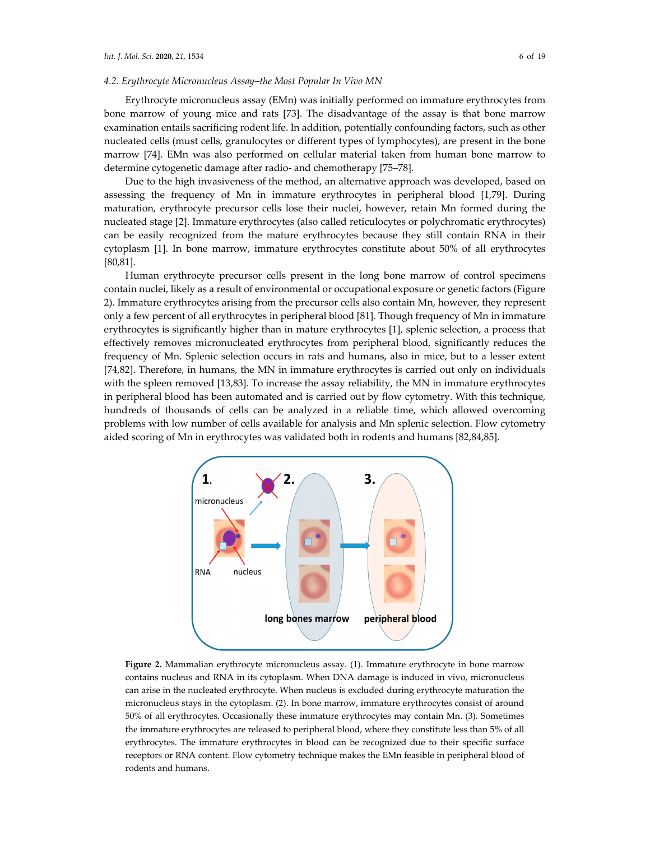#### *4.2. Erythrocyte Micronucleus Assay–the Most Popular In Vivo MN*

Erythrocyte micronucleus assay (EMn) was initially performed on immature erythrocytes from bone marrow of young mice and rats [73]. The disadvantage of the assay is that bone marrow examination entails sacrificing rodent life. In addition, potentially confounding factors, such as other nucleated cells (must cells, granulocytes or different types of lymphocytes), are present in the bone marrow [74]. EMn was also performed on cellular material taken from human bone marrow to determine cytogenetic damage after radio‐ and chemotherapy [75–78].

Due to the high invasiveness of the method, an alternative approach was developed, based on assessing the frequency of Mn in immature erythrocytes in peripheral blood [1,79]. During maturation, erythrocyte precursor cells lose their nuclei, however, retain Mn formed during the nucleated stage [2]. Immature erythrocytes (also called reticulocytes or polychromatic erythrocytes) can be easily recognized from the mature erythrocytes because they still contain RNA in their cytoplasm [1]. In bone marrow, immature erythrocytes constitute about 50% of all erythrocytes [80,81].

Human erythrocyte precursor cells present in the long bone marrow of control specimens contain nuclei, likely as a result of environmental or occupational exposure or genetic factors (Figure 2). Immature erythrocytes arising from the precursor cells also contain Mn, however, they represent only a few percent of all erythrocytes in peripheral blood [81]. Though frequency of Mn in immature erythrocytes is significantly higher than in mature erythrocytes [1], splenic selection, a process that effectively removes micronucleated erythrocytes from peripheral blood, significantly reduces the frequency of Mn. Splenic selection occurs in rats and humans, also in mice, but to a lesser extent [74,82]. Therefore, in humans, the MN in immature erythrocytes is carried out only on individuals with the spleen removed [13,83]. To increase the assay reliability, the MN in immature erythrocytes in peripheral blood has been automated and is carried out by flow cytometry. With this technique, hundreds of thousands of cells can be analyzed in a reliable time, which allowed overcoming problems with low number of cells available for analysis and Mn splenic selection. Flow cytometry aided scoring of Mn in erythrocytes was validated both in rodents and humans [82,84,85].



**Figure 2.** Mammalian erythrocyte micronucleus assay. (1). Immature erythrocyte in bone marrow contains nucleus and RNA in its cytoplasm. When DNA damage is induced in vivo, micronucleus can arise in the nucleated erythrocyte. When nucleus is excluded during erythrocyte maturation the micronucleus stays in the cytoplasm. (2). In bone marrow, immature erythrocytes consist of around 50% of all erythrocytes. Occasionally these immature erythrocytes may contain Mn. (3). Sometimes the immature erythrocytes are released to peripheral blood, where they constitute less than 5% of all erythrocytes. The immature erythrocytes in blood can be recognized due to their specific surface receptors or RNA content. Flow cytometry technique makes the EMn feasible in peripheral blood of rodents and humans.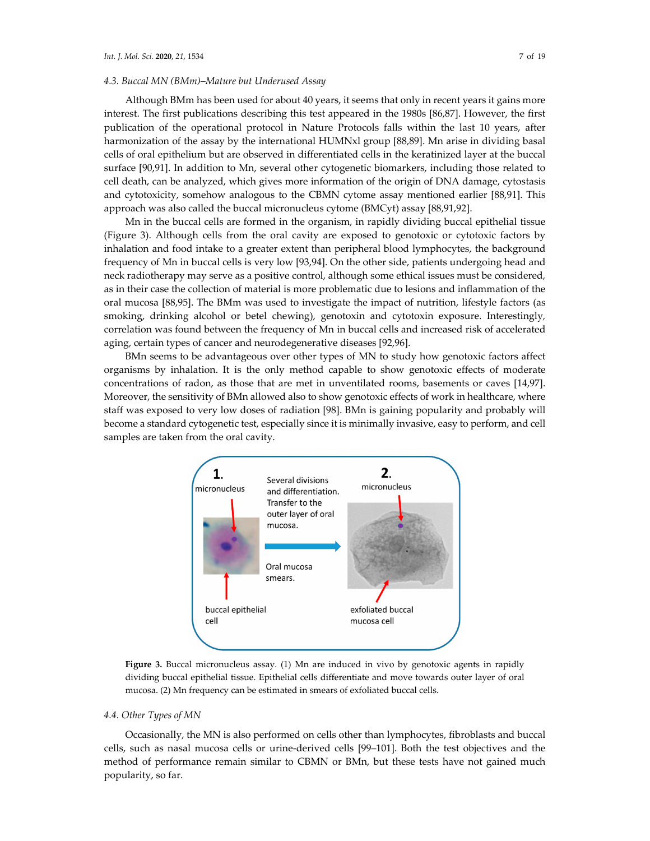### *4.3. Buccal MN (BMm)–Mature but Underused Assay*

Although BMm has been used for about 40 years, it seems that only in recent years it gains more interest. The first publications describing this test appeared in the 1980s [86,87]. However, the first publication of the operational protocol in Nature Protocols falls within the last 10 years, after harmonization of the assay by the international HUMNxl group [88,89]. Mn arise in dividing basal cells of oral epithelium but are observed in differentiated cells in the keratinized layer at the buccal surface [90,91]. In addition to Mn, several other cytogenetic biomarkers, including those related to cell death, can be analyzed, which gives more information of the origin of DNA damage, cytostasis and cytotoxicity, somehow analogous to the CBMN cytome assay mentioned earlier [88,91]. This approach was also called the buccal micronucleus cytome (BMCyt) assay [88,91,92].

Mn in the buccal cells are formed in the organism, in rapidly dividing buccal epithelial tissue (Figure 3). Although cells from the oral cavity are exposed to genotoxic or cytotoxic factors by inhalation and food intake to a greater extent than peripheral blood lymphocytes, the background frequency of Mn in buccal cells is very low [93,94]. On the other side, patients undergoing head and neck radiotherapy may serve as a positive control, although some ethical issues must be considered*,* as in their case the collection of material is more problematic due to lesions and inflammation of the oral mucosa [88,95]. The BMm was used to investigate the impact of nutrition, lifestyle factors (as smoking, drinking alcohol or betel chewing), genotoxin and cytotoxin exposure. Interestingly*,* correlation was found between the frequency of Mn in buccal cells and increased risk of accelerated aging, certain types of cancer and neurodegenerative diseases [92,96].

BMn seems to be advantageous over other types of MN to study how genotoxic factors affect organisms by inhalation. It is the only method capable to show genotoxic effects of moderate concentrations of radon, as those that are met in unventilated rooms, basements or caves [14,97]. Moreover, the sensitivity of BMn allowed also to show genotoxic effects of work in healthcare, where staff was exposed to very low doses of radiation [98]. BMn is gaining popularity and probably will become a standard cytogenetic test, especially since it is minimally invasive, easy to perform, and cell samples are taken from the oral cavity.



**Figure 3.** Buccal micronucleus assay. (1) Mn are induced in vivo by genotoxic agents in rapidly dividing buccal epithelial tissue. Epithelial cells differentiate and move towards outer layer of oral mucosa. (2) Mn frequency can be estimated in smears of exfoliated buccal cells.

### *4.4. Other Types of MN*

Occasionally, the MN is also performed on cells other than lymphocytes, fibroblasts and buccal cells, such as nasal mucosa cells or urine‐derived cells [99–101]. Both the test objectives and the method of performance remain similar to CBMN or BMn, but these tests have not gained much popularity, so far.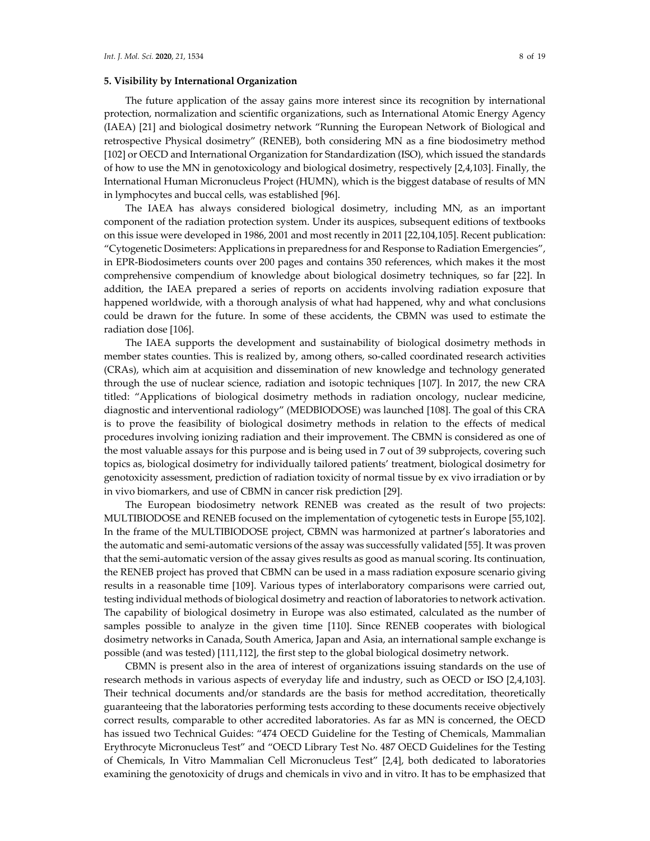#### **5. Visibility by International Organization**

The future application of the assay gains more interest since its recognition by international protection, normalization and scientific organizations, such as International Atomic Energy Agency (IAEA) [21] and biological dosimetry network "Running the European Network of Biological and retrospective Physical dosimetry" (RENEB), both considering MN as a fine biodosimetry method [102] or OECD and International Organization for Standardization (ISO), which issued the standards of how to use the MN in genotoxicology and biological dosimetry, respectively [2,4,103]. Finally, the International Human Micronucleus Project (HUMN), which is the biggest database of results of MN in lymphocytes and buccal cells, was established [96].

The IAEA has always considered biological dosimetry, including MN, as an important component of the radiation protection system. Under its auspices, subsequent editions of textbooks on this issue were developed in 1986, 2001 and most recently in 2011 [22,104,105]. Recent publication: "Cytogenetic Dosimeters: Applications in preparedness for and Response to Radiation Emergencies", in EPR‐Biodosimeters counts over 200 pages and contains 350 references, which makes it the most comprehensive compendium of knowledge about biological dosimetry techniques, so far [22]. In addition, the IAEA prepared a series of reports on accidents involving radiation exposure that happened worldwide, with a thorough analysis of what had happened, why and what conclusions could be drawn for the future. In some of these accidents, the CBMN was used to estimate the radiation dose [106].

The IAEA supports the development and sustainability of biological dosimetry methods in member states counties. This is realized by, among others, so-called coordinated research activities (CRAs), which aim at acquisition and dissemination of new knowledge and technology generated through the use of nuclear science, radiation and isotopic techniques [107]. In 2017, the new CRA titled: "Applications of biological dosimetry methods in radiation oncology, nuclear medicine, diagnostic and interventional radiology" (MEDBIODOSE) was launched [108]. The goal of this CRA is to prove the feasibility of biological dosimetry methods in relation to the effects of medical procedures involving ionizing radiation and their improvement. The CBMN is considered as one of the most valuable assays for this purpose and is being used in 7 out of 39 subprojects, covering such topics as, biological dosimetry for individually tailored patients' treatment, biological dosimetry for genotoxicity assessment, prediction of radiation toxicity of normal tissue by ex vivo irradiation or by in vivo biomarkers, and use of CBMN in cancer risk prediction [29].

The European biodosimetry network RENEB was created as the result of two projects: MULTIBIODOSE and RENEB focused on the implementation of cytogenetic tests in Europe [55,102]. In the frame of the MULTIBIODOSE project, CBMN was harmonized at partner's laboratories and the automatic and semi‐automatic versions of the assay was successfully validated [55]. It was proven that the semi-automatic version of the assay gives results as good as manual scoring. Its continuation, the RENEB project has proved that CBMN can be used in a mass radiation exposure scenario giving results in a reasonable time [109]. Various types of interlaboratory comparisons were carried out, testing individual methods of biological dosimetry and reaction of laboratories to network activation. The capability of biological dosimetry in Europe was also estimated, calculated as the number of samples possible to analyze in the given time [110]. Since RENEB cooperates with biological dosimetry networks in Canada, South America, Japan and Asia, an international sample exchange is possible (and was tested) [111,112], the first step to the global biological dosimetry network.

CBMN is present also in the area of interest of organizations issuing standards on the use of research methods in various aspects of everyday life and industry, such as OECD or ISO [2,4,103]. Their technical documents and/or standards are the basis for method accreditation, theoretically guaranteeing that the laboratories performing tests according to these documents receive objectively correct results, comparable to other accredited laboratories. As far as MN is concerned, the OECD has issued two Technical Guides: "474 OECD Guideline for the Testing of Chemicals, Mammalian Erythrocyte Micronucleus Test" and "OECD Library Test No. 487 OECD Guidelines for the Testing of Chemicals, In Vitro Mammalian Cell Micronucleus Test" [2,4], both dedicated to laboratories examining the genotoxicity of drugs and chemicals in vivo and in vitro. It has to be emphasized that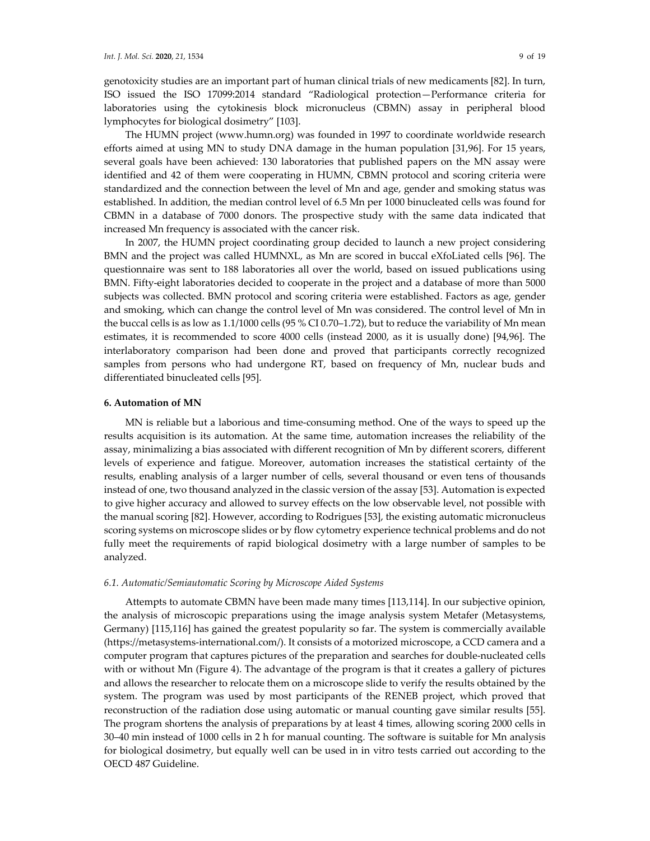genotoxicity studies are an important part of human clinical trials of new medicaments [82]. In turn, ISO issued the ISO 17099:2014 standard "Radiological protection—Performance criteria for laboratories using the cytokinesis block micronucleus (CBMN) assay in peripheral blood lymphocytes for biological dosimetry" [103].

The HUMN project (www.humn.org) was founded in 1997 to coordinate worldwide research efforts aimed at using MN to study DNA damage in the human population [31,96]. For 15 years, several goals have been achieved: 130 laboratories that published papers on the MN assay were identified and 42 of them were cooperating in HUMN, CBMN protocol and scoring criteria were standardized and the connection between the level of Mn and age, gender and smoking status was established. In addition, the median control level of 6.5 Mn per 1000 binucleated cells was found for CBMN in a database of 7000 donors. The prospective study with the same data indicated that increased Mn frequency is associated with the cancer risk.

In 2007, the HUMN project coordinating group decided to launch a new project considering BMN and the project was called HUMNXL, as Mn are scored in buccal eXfoLiated cells [96]. The questionnaire was sent to 188 laboratories all over the world, based on issued publications using BMN. Fifty‐eight laboratories decided to cooperate in the project and a database of more than 5000 subjects was collected. BMN protocol and scoring criteria were established. Factors as age, gender and smoking, which can change the control level of Mn was considered. The control level of Mn in the buccal cells is as low as 1.1/1000 cells (95 % CI 0.70–1.72), but to reduce the variability of Mn mean estimates, it is recommended to score 4000 cells (instead 2000, as it is usually done) [94,96]. The interlaboratory comparison had been done and proved that participants correctly recognized samples from persons who had undergone RT, based on frequency of Mn, nuclear buds and differentiated binucleated cells [95].

#### **6. Automation of MN**

MN is reliable but a laborious and time‐consuming method. One of the ways to speed up the results acquisition is its automation. At the same time, automation increases the reliability of the assay, minimalizing a bias associated with different recognition of Mn by different scorers, different levels of experience and fatigue. Moreover, automation increases the statistical certainty of the results, enabling analysis of a larger number of cells, several thousand or even tens of thousands instead of one, two thousand analyzed in the classic version of the assay [53]. Automation is expected to give higher accuracy and allowed to survey effects on the low observable level, not possible with the manual scoring [82]. However, according to Rodrigues [53], the existing automatic micronucleus scoring systems on microscope slides or by flow cytometry experience technical problems and do not fully meet the requirements of rapid biological dosimetry with a large number of samples to be analyzed.

### *6.1. Automatic/Semiautomatic Scoring by Microscope Aided Systems*

Attempts to automate CBMN have been made many times [113,114]. In our subjective opinion, the analysis of microscopic preparations using the image analysis system Metafer (Metasystems, Germany) [115,116] has gained the greatest popularity so far. The system is commercially available (https://metasystems‐international.com/). It consists of a motorized microscope, a CCD camera and a computer program that captures pictures of the preparation and searches for double-nucleated cells with or without Mn (Figure 4). The advantage of the program is that it creates a gallery of pictures and allows the researcher to relocate them on a microscope slide to verify the results obtained by the system. The program was used by most participants of the RENEB project, which proved that reconstruction of the radiation dose using automatic or manual counting gave similar results [55]. The program shortens the analysis of preparations by at least 4 times, allowing scoring 2000 cells in 30–40 min instead of 1000 cells in 2 h for manual counting. The software is suitable for Mn analysis for biological dosimetry, but equally well can be used in in vitro tests carried out according to the OECD 487 Guideline.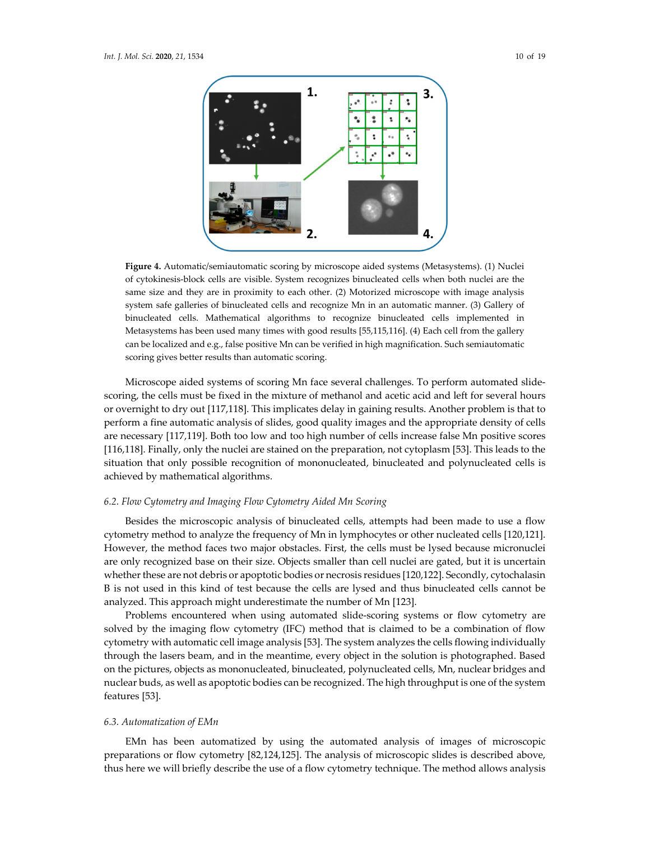

**Figure 4.** Automatic/semiautomatic scoring by microscope aided systems (Metasystems). (1) Nuclei of cytokinesis‐block cells are visible. System recognizes binucleated cells when both nuclei are the same size and they are in proximity to each other. (2) Motorized microscope with image analysis system safe galleries of binucleated cells and recognize Mn in an automatic manner. (3) Gallery of binucleated cells. Mathematical algorithms to recognize binucleated cells implemented in Metasystems has been used many times with good results [55,115,116]. (4) Each cell from the gallery can be localized and e.g., false positive Mn can be verified in high magnification. Such semiautomatic scoring gives better results than automatic scoring.

Microscope aided systems of scoring Mn face several challenges. To perform automated slide‐ scoring, the cells must be fixed in the mixture of methanol and acetic acid and left for several hours or overnight to dry out [117,118]. This implicates delay in gaining results. Another problem is that to perform a fine automatic analysis of slides, good quality images and the appropriate density of cells are necessary [117,119]. Both too low and too high number of cells increase false Mn positive scores [116,118]. Finally, only the nuclei are stained on the preparation, not cytoplasm [53]. This leads to the situation that only possible recognition of mononucleated, binucleated and polynucleated cells is achieved by mathematical algorithms.

### *6.2. Flow Cytometry and Imaging Flow Cytometry Aided Mn Scoring*

Besides the microscopic analysis of binucleated cells, attempts had been made to use a flow cytometry method to analyze the frequency of Mn in lymphocytes or other nucleated cells [120,121]. However, the method faces two major obstacles. First, the cells must be lysed because micronuclei are only recognized base on their size. Objects smaller than cell nuclei are gated, but it is uncertain whether these are not debris or apoptotic bodies or necrosis residues [120,122]. Secondly, cytochalasin B is not used in this kind of test because the cells are lysed and thus binucleated cells cannot be analyzed. This approach might underestimate the number of Mn [123].

Problems encountered when using automated slide‐scoring systems or flow cytometry are solved by the imaging flow cytometry (IFC) method that is claimed to be a combination of flow cytometry with automatic cell image analysis [53]. The system analyzes the cells flowing individually through the lasers beam, and in the meantime, every object in the solution is photographed. Based on the pictures, objects as mononucleated, binucleated, polynucleated cells, Mn, nuclear bridges and nuclear buds, as well as apoptotic bodies can be recognized. The high throughput is one of the system features [53].

#### *6.3. Automatization of EMn*

EMn has been automatized by using the automated analysis of images of microscopic preparations or flow cytometry [82,124,125]. The analysis of microscopic slides is described above, thus here we will briefly describe the use of a flow cytometry technique. The method allows analysis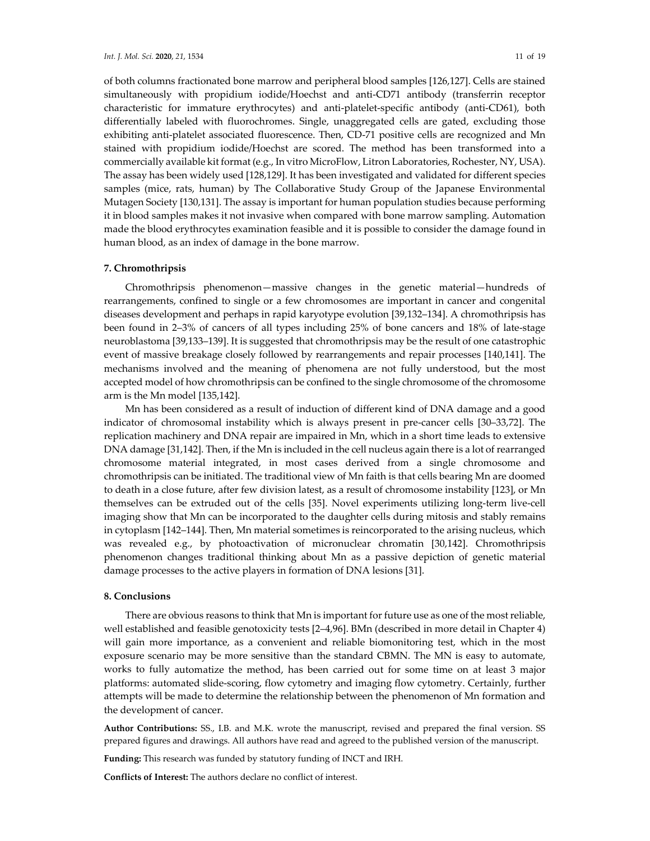of both columns fractionated bone marrow and peripheral blood samples [126,127]. Cells are stained simultaneously with propidium iodide/Hoechst and anti-CD71 antibody (transferrin receptor characteristic for immature erythrocytes) and anti‐platelet‐specific antibody (anti‐CD61), both differentially labeled with fluorochromes. Single, unaggregated cells are gated, excluding those exhibiting anti-platelet associated fluorescence. Then, CD-71 positive cells are recognized and Mn stained with propidium iodide/Hoechst are scored. The method has been transformed into a commercially available kit format (e.g., In vitro MicroFlow, Litron Laboratories, Rochester, NY, USA). The assay has been widely used [128,129]. It has been investigated and validated for different species samples (mice, rats, human) by The Collaborative Study Group of the Japanese Environmental Mutagen Society [130,131]. The assay is important for human population studies because performing it in blood samples makes it not invasive when compared with bone marrow sampling. Automation made the blood erythrocytes examination feasible and it is possible to consider the damage found in human blood, as an index of damage in the bone marrow.

#### **7. Chromothripsis**

Chromothripsis phenomenon—massive changes in the genetic material—hundreds of rearrangements, confined to single or a few chromosomes are important in cancer and congenital diseases development and perhaps in rapid karyotype evolution [39,132–134]. A chromothripsis has been found in 2–3% of cancers of all types including 25% of bone cancers and 18% of late‐stage neuroblastoma [39,133–139]. It is suggested that chromothripsis may be the result of one catastrophic event of massive breakage closely followed by rearrangements and repair processes [140,141]. The mechanisms involved and the meaning of phenomena are not fully understood, but the most accepted model of how chromothripsis can be confined to the single chromosome of the chromosome arm is the Mn model [135,142].

Mn has been considered as a result of induction of different kind of DNA damage and a good indicator of chromosomal instability which is always present in pre-cancer cells [30–33,72]. The replication machinery and DNA repair are impaired in Mn, which in a short time leads to extensive DNA damage [31,142]. Then, if the Mn is included in the cell nucleus again there is a lot of rearranged chromosome material integrated, in most cases derived from a single chromosome and chromothripsis can be initiated. The traditional view of Mn faith is that cells bearing Mn are doomed to death in a close future, after few division latest, as a result of chromosome instability [123], or Mn themselves can be extruded out of the cells [35]. Novel experiments utilizing long‐term live‐cell imaging show that Mn can be incorporated to the daughter cells during mitosis and stably remains in cytoplasm [142–144]. Then, Mn material sometimes is reincorporated to the arising nucleus, which was revealed e.g., by photoactivation of micronuclear chromatin [30,142]. Chromothripsis phenomenon changes traditional thinking about Mn as a passive depiction of genetic material damage processes to the active players in formation of DNA lesions [31].

#### **8. Conclusions**

There are obvious reasons to think that Mn is important for future use as one of the mostreliable, well established and feasible genotoxicity tests [2–4,96]. BMn (described in more detail in Chapter 4) will gain more importance, as a convenient and reliable biomonitoring test, which in the most exposure scenario may be more sensitive than the standard CBMN. The MN is easy to automate, works to fully automatize the method, has been carried out for some time on at least 3 major platforms: automated slide‐scoring, flow cytometry and imaging flow cytometry. Certainly, further attempts will be made to determine the relationship between the phenomenon of Mn formation and the development of cancer.

**Author Contributions:** SS., I.B. and M.K. wrote the manuscript, revised and prepared the final version. SS prepared figures and drawings. All authors have read and agreed to the published version of the manuscript.

**Funding:** This research was funded by statutory funding of INCT and IRH.

**Conflicts of Interest:** The authors declare no conflict of interest.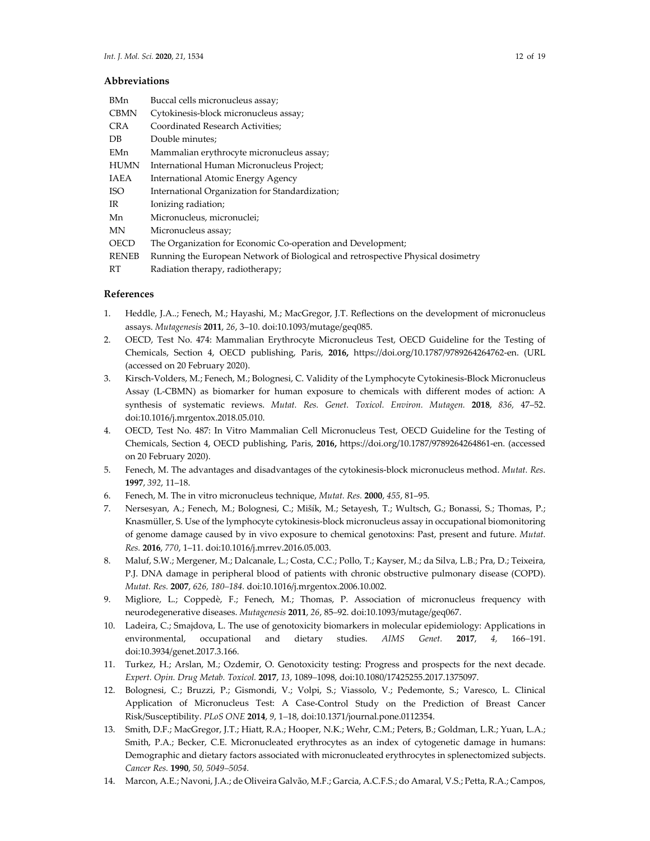#### **Abbreviations**

| BMn          | Buccal cells micronucleus assay;                                                |
|--------------|---------------------------------------------------------------------------------|
| <b>CBMN</b>  | Cytokinesis-block micronucleus assay;                                           |
| <b>CRA</b>   | Coordinated Research Activities;                                                |
| DB.          | Double minutes;                                                                 |
| EMn          | Mammalian erythrocyte micronucleus assay;                                       |
| <b>HUMN</b>  | International Human Micronucleus Project;                                       |
| IAEA         | International Atomic Energy Agency                                              |
| <b>ISO</b>   | International Organization for Standardization;                                 |
| IR           | Ionizing radiation;                                                             |
| Mn           | Micronucleus, micronuclei;                                                      |
| ΜN           | Micronucleus assay;                                                             |
| <b>OECD</b>  | The Organization for Economic Co-operation and Development;                     |
| <b>RENEB</b> | Running the European Network of Biological and retrospective Physical dosimetry |
| RT.          | Radiation therapy, radiotherapy;                                                |

#### **References**

- 1. Heddle, J.A..; Fenech, M.; Hayashi, M.; MacGregor, J.T. Reflections on the development of micronucleus assays. *Mutagenesis* **2011**, *26*, 3–10. doi:10.1093/mutage/geq085.
- 2. OECD, Test No. 474: Mammalian Erythrocyte Micronucleus Test, OECD Guideline for the Testing of Chemicals, Section 4, OECD publishing, Paris, **2016,** https://doi.org/10.1787/9789264264762‐en. (URL (accessed on 20 February 2020).
- 3. Kirsch‐Volders, M.; Fenech, M.; Bolognesi, C. Validity of the Lymphocyte Cytokinesis‐Block Micronucleus Assay (L‐CBMN) as biomarker for human exposure to chemicals with different modes of action: A synthesis of systematic reviews. *Mutat. Res. Genet. Toxicol. Environ. Mutagen.* **2018**, *836,* 47–52. doi:10.1016/j.mrgentox.2018.05.010.
- 4. OECD, Test No. 487: In Vitro Mammalian Cell Micronucleus Test, OECD Guideline for the Testing of Chemicals, Section 4, OECD publishing, Paris, **2016,** https://doi.org/10.1787/9789264264861‐en. (accessed on 20 February 2020).
- 5. Fenech, M. The advantages and disadvantages of the cytokinesis‐block micronucleus method. *Mutat. Res*. **1997**, *392*, 11–18.
- 6. Fenech, M. The in vitro micronucleus technique, *Mutat. Res.* **2000**, *455*, 81–95.
- 7. Nersesyan, A.; Fenech, M.; Bolognesi, C.; Mišík, M.; Setayesh, T.; Wultsch, G.; Bonassi, S.; Thomas, P.; Knasmüller, S. Use of the lymphocyte cytokinesis‐block micronucleus assay in occupational biomonitoring of genome damage caused by in vivo exposure to chemical genotoxins: Past, present and future. *Mutat. Res.* **2016**, *770*, 1–11. doi:10.1016/j.mrrev.2016.05.003.
- 8. Maluf, S.W.; Mergener, M.; Dalcanale, L.; Costa, C.C.; Pollo, T.; Kayser, M.; da Silva, L.B.; Pra, D.; Teixeira, P.J. DNA damage in peripheral blood of patients with chronic obstructive pulmonary disease (COPD). *Mutat. Res.* **2007**, *626, 180–184.* doi:10.1016/j.mrgentox.2006.10.002.
- 9. Migliore, L.; Coppedè, F.; Fenech, M.; Thomas, P. Association of micronucleus frequency with neurodegenerative diseases. *Mutagenesis* **2011**, *26*, 85*–*92. doi:10.1093/mutage/geq067.
- 10. Ladeira, C.; Smajdova, L. The use of genotoxicity biomarkers in molecular epidemiology: Applications in environmental, occupational and dietary studies. *AIMS Genet.* **2017**, *4,* 166*–*191. doi:10.3934/genet.2017.3.166.
- 11. Turkez, H.; Arslan, M.; Ozdemir, O. Genotoxicity testing: Progress and prospects for the next decade. *Expert. Opin. Drug Metab. Toxicol.* **2017**, *13*, 1089*–*1098, doi:10.1080/17425255.2017.1375097.
- 12. Bolognesi, C.; Bruzzi, P.; Gismondi, V.; Volpi, S.; Viassolo, V.; Pedemonte, S.; Varesco, L. Clinical Application of Micronucleus Test: A Case‐Control Study on the Prediction of Breast Cancer Risk/Susceptibility. *PLoS ONE* **2014**, *9*, 1*–*18, doi:10.1371/journal.pone.0112354.
- 13. Smith, D.F.; MacGregor, J.T.; Hiatt, R.A.; Hooper, N.K.; Wehr, C.M.; Peters, B.; Goldman, L.R.; Yuan, L.A.; Smith, P.A.; Becker, C.E. Micronucleated erythrocytes as an index of cytogenetic damage in humans: Demographic and dietary factors associated with micronucleated erythrocytes in splenectomized subjects. *Cancer Res.* **1990**, *50, 5049–5054.*
- 14. Marcon, A.E.; Navoni, J.A.; de Oliveira Galvão, M.F.; Garcia, A.C.F.S.; do Amaral, V.S.; Petta, R.A.; Campos,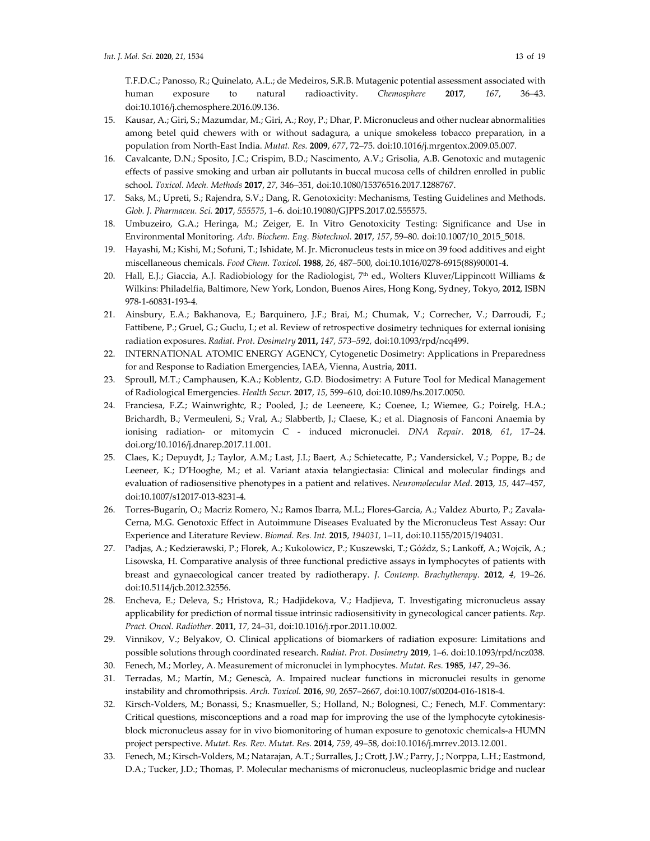T.F.D.C.; Panosso, R.; Quinelato, A.L.; de Medeiros, S.R.B. Mutagenic potential assessment associated with human exposure to natural radioactivity. *Chemosphere* **2017**, *167*, 36*–*43. doi:10.1016/j.chemosphere.2016.09.136.

- 15. Kausar, A.; Giri, S.; Mazumdar, M.; Giri, A.; Roy, P.; Dhar, P. Micronucleus and other nuclear abnormalities among betel quid chewers with or without sadagura, a unique smokeless tobacco preparation, in a population from North‐East India. *Mutat. Res.* **2009**, *677*, 72–75. doi:10.1016/j.mrgentox.2009.05.007.
- 16. Cavalcante, D.N.; Sposito, J.C.; Crispim, B.D.; Nascimento, A.V.; Grisolia, A.B. Genotoxic and mutagenic effects of passive smoking and urban air pollutants in buccal mucosa cells of children enrolled in public school. *Toxicol. Mech. Methods* **2017**, *27,* 346*–*351, doi:10.1080/15376516.2017.1288767.
- 17. Saks, M.; Upreti, S.; Rajendra, S.V.; Dang, R. Genotoxicity: Mechanisms, Testing Guidelines and Methods. *Glob. J. Pharmaceu. Sci.* **2017**, *555575*, 1*–*6. doi:10.19080/GJPPS.2017.02.555575.
- 18. Umbuzeiro, G.A.; Heringa, M.; Zeiger, E. In Vitro Genotoxicity Testing: Significance and Use in Environmental Monitoring. *Adv. Biochem. Eng. Biotechnol*. **2017**, *157*, 59–80. doi:10.1007/10\_2015\_5018.
- 19. Hayashi, M.; Kishi, M.; Sofuni, T.; Ishidate, M. Jr. Micronucleus tests in mice on 39 food additives and eight miscellaneous chemicals. *Food Chem. Toxicol.* **1988**, *26,* 487*–*500, doi:10.1016/0278‐6915(88)90001‐4.
- 20. Hall, E.J.; Giaccia, A.J. Radiobiology for the Radiologist, 7th ed., Wolters Kluver/Lippincott Williams & Wilkins: Philadelfia, Baltimore, New York, London, Buenos Aires, Hong Kong, Sydney, Tokyo, **2012**, ISBN 978‐1‐60831‐193‐4.
- 21. Ainsbury, E.A.; Bakhanova, E.; Barquinero, J.F.; Brai, M.; Chumak, V.; Correcher, V.; Darroudi, F.; Fattibene, P.; Gruel, G.; Guclu, I.; et al. Review of retrospective dosimetry techniques for external ionising radiation exposures. *Radiat. Prot. Dosimetry* **2011,** *147, 573–592,* doi:10.1093/rpd/ncq499.
- 22. INTERNATIONAL ATOMIC ENERGY AGENCY, Cytogenetic Dosimetry: Applications in Preparedness for and Response to Radiation Emergencies, IAEA, Vienna, Austria, **2011**.
- 23. Sproull, M.T.; Camphausen, K.A.; Koblentz, G.D. Biodosimetry: A Future Tool for Medical Management of Radiological Emergencies. *Health Secur.* **2017**, *15,* 599*–*610, doi:10.1089/hs.2017.0050.
- 24. Franciesa, F.Z.; Wainwrightc, R.; Pooled, J.; de Leeneere, K.; Coenee, I.; Wiemee, G.; Poirelg, H.A.; Brichardh, B.; Vermeuleni, S.; Vral, A.; Slabbertb, J.; Claese, K.; et al. Diagnosis of Fanconi Anaemia by ionising radiation‐ or mitomycin C ‐ induced micronuclei. *DNA Repair*. **2018**, *61*, 17–24. doi.org/10.1016/j.dnarep.2017.11.001.
- 25. Claes, K.; Depuydt, J.; Taylor, A.M.; Last, J.I.; Baert, A.; Schietecatte, P.; Vandersickel, V.; Poppe, B.; de Leeneer, K.; D'Hooghe, M.; et al. Variant ataxia telangiectasia: Clinical and molecular findings and evaluation of radiosensitive phenotypes in a patient and relatives. *Neuromolecular Med*. **2013**, *15,* 447–457, doi:10.1007/s12017‐013‐8231‐4.
- 26. Torres‐Bugarín, O.; Macriz Romero, N.; Ramos Ibarra, M.L.; Flores‐García, A.; Valdez Aburto, P.; Zavala‐ Cerna, M.G. Genotoxic Effect in Autoimmune Diseases Evaluated by the Micronucleus Test Assay: Our Experience and Literature Review. *Biomed. Res. Int.* **2015**, *194031,* 1*–*11, doi:10.1155/2015/194031.
- 27. Padjas, A.; Kedzierawski, P.; Florek, A.; Kukolowicz, P.; Kuszewski, T.; Góźdz, S.; Lankoff, A.; Wojcik, A.; Lisowska, H. Comparative analysis of three functional predictive assays in lymphocytes of patients with breast and gynaecological cancer treated by radiotherapy. *J. Contemp. Brachytherapy*. **2012**, *4,* 19*–*26. doi:10.5114/jcb.2012.32556.
- 28. Encheva, E.; Deleva, S.; Hristova, R.; Hadjidekova, V.; Hadjieva, T. Investigating micronucleus assay applicability for prediction of normal tissue intrinsic radiosensitivity in gynecological cancer patients. *Rep. Pract. Oncol. Radiother.* **2011**, *17,* 24*–*31, doi:10.1016/j.rpor.2011.10.002.
- 29. Vinnikov, V.; Belyakov, O. Clinical applications of biomarkers of radiation exposure: Limitations and possible solutions through coordinated research. *Radiat. Prot. Dosimetry* **2019**, 1*–*6. doi:10.1093/rpd/ncz038.
- 30. Fenech, M.; Morley, A. Measurement of micronuclei in lymphocytes. *Mutat. Res.* **1985**, *147*, 29–36.
- 31. Terradas, M.; Martín, M.; Genescà, A. Impaired nuclear functions in micronuclei results in genome instability and chromothripsis. *Arch. Toxicol.* **2016**, *90*, 2657–2667, doi:10.1007/s00204‐016‐1818‐4.
- 32. Kirsch‐Volders, M.; Bonassi, S.; Knasmueller, S.; Holland, N.; Bolognesi, C.; Fenech, M.F. Commentary: Critical questions, misconceptions and a road map for improving the use of the lymphocyte cytokinesis‐ block micronucleus assay for in vivo biomonitoring of human exposure to genotoxic chemicals‐a HUMN project perspective. *Mutat. Res. Rev. Mutat. Res.* **2014**, *759*, 49*–*58, doi:10.1016/j.mrrev.2013.12.001.
- 33. Fenech, M.; Kirsch‐Volders, M.; Natarajan, A.T.; Surralles, J.; Crott, J.W.; Parry, J.; Norppa, L.H.; Eastmond, D.A.; Tucker, J.D.; Thomas, P. Molecular mechanisms of micronucleus, nucleoplasmic bridge and nuclear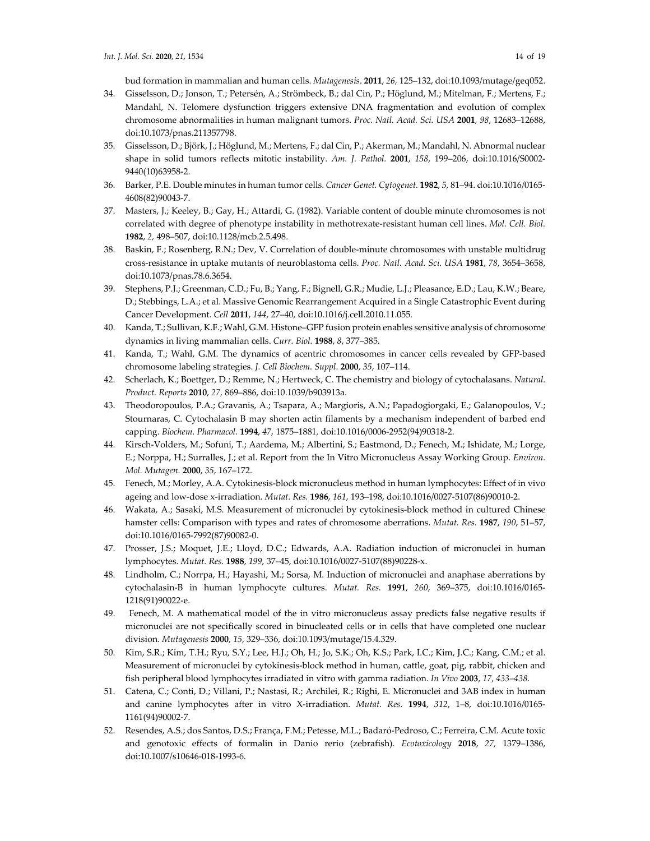bud formation in mammalian and human cells. *Mutagenesis*. **2011**, *26,* 125–132, doi:10.1093/mutage/geq052.

- 34. Gisselsson, D.; Jonson, T.; Petersén, A.; Strömbeck, B.; dal Cin, P.; Höglund, M.; Mitelman, F.; Mertens, F.; Mandahl, N. Telomere dysfunction triggers extensive DNA fragmentation and evolution of complex chromosome abnormalities in human malignant tumors. *Proc. Natl. Acad. Sci. USA* **2001**, *98*, 12683–12688, doi:10.1073/pnas.211357798.
- 35. Gisselsson, D.; Björk, J.; Höglund, M.; Mertens, F.; dal Cin, P.; Akerman, M.; Mandahl, N. Abnormal nuclear shape in solid tumors reflects mitotic instability. *Am. J. Pathol.* **2001**, *158*, 199–206, doi:10.1016/S0002‐ 9440(10)63958‐2.
- 36. Barker, P.E. Double minutes in human tumor cells. *Cancer Genet. Cytogenet.* **1982**, *5,* 81–94. doi:10.1016/0165‐ 4608(82)90043‐7.
- 37. Masters, J.; Keeley, B.; Gay, H.; Attardi, G. (1982). Variable content of double minute chromosomes is not correlated with degree of phenotype instability in methotrexate‐resistant human cell lines. *Mol. Cell. Biol.* **1982**, *2,* 498–507, doi:10.1128/mcb.2.5.498.
- 38. Baskin, F.; Rosenberg, R.N.; Dev, V. Correlation of double‐minute chromosomes with unstable multidrug cross‐resistance in uptake mutants of neuroblastoma cells. *Proc. Natl. Acad. Sci. USA* **1981**, *78*, 3654–3658, doi:10.1073/pnas.78.6.3654.
- 39. Stephens, P.J.; Greenman, C.D.; Fu, B.; Yang, F.; Bignell, G.R.; Mudie, L.J.; Pleasance, E.D.; Lau, K.W.; Beare, D.; Stebbings, L.A.; et al. Massive Genomic Rearrangement Acquired in a Single Catastrophic Event during Cancer Development. *Cell* **2011**, *144*, 27–40, doi:10.1016/j.cell.2010.11.055.
- 40. Kanda, T.; Sullivan, K.F.; Wahl, G.M. Histone–GFP fusion protein enables sensitive analysis of chromosome dynamics in living mammalian cells. *Curr. Biol.* **1988**, *8*, 377–385.
- 41. Kanda, T.; Wahl, G.M. The dynamics of acentric chromosomes in cancer cells revealed by GFP‐based chromosome labeling strategies. *J. Cell Biochem. Suppl*. **2000**, *35*, 107–114.
- 42. Scherlach, K.; Boettger, D.; Remme, N.; Hertweck, C. The chemistry and biology of cytochalasans. *Natural. Product. Reports* **2010**, *27,* 869–886, doi:10.1039/b903913a.
- 43. Theodoropoulos, P.A.; Gravanis, A.; Tsapara, A.; Margioris, A.N.; Papadogiorgaki, E.; Galanopoulos, V.; Stournaras, C. Cytochalasin B may shorten actin filaments by a mechanism independent of barbed end capping. *Biochem. Pharmacol.* **1994**, *47,* 1875–1881*,* doi:10.1016/0006‐2952(94)90318‐2.
- 44. Kirsch‐Volders, M.; Sofuni, T.; Aardema, M.; Albertini, S.; Eastmond, D.; Fenech, M.; Ishidate, M.; Lorge, E.; Norppa, H.; Surralles, J.; et al. Report from the In Vitro Micronucleus Assay Working Group. *Environ. Mol. Mutagen.* **2000**, *35*, 167–172.
- 45. Fenech, M.; Morley, A.A. Cytokinesis‐block micronucleus method in human lymphocytes: Effect of in vivo ageing and low‐dose x‐irradiation. *Mutat. Res.* **1986**, *161*, 193–198, doi:10.1016/0027‐5107(86)90010‐2.
- 46. Wakata, A.; Sasaki, M.S. Measurement of micronuclei by cytokinesis‐block method in cultured Chinese hamster cells: Comparison with types and rates of chromosome aberrations. *Mutat. Res.* **1987**, *190*, 51–57, doi:10.1016/0165‐7992(87)90082‐0.
- 47. Prosser, J.S.; Moquet, J.E.; Lloyd, D.C.; Edwards, A.A. Radiation induction of micronuclei in human lymphocytes. *Mutat. Res.* **1988**, *199*, 37–45, doi:10.1016/0027‐5107(88)90228‐x.
- 48. Lindholm, C.; Norrpa, H.; Hayashi, M.; Sorsa, M. Induction of micronuclei and anaphase aberrations by cytochalasin‐B in human lymphocyte cultures. *Mutat. Res.* **1991**, *260*, 369–375, doi:10.1016/0165‐ 1218(91)90022‐e.
- 49. Fenech, M. A mathematical model of the in vitro micronucleus assay predicts false negative results if micronuclei are not specifically scored in binucleated cells or in cells that have completed one nuclear division. *Mutagenesis* **2000**, *15,* 329–336, doi:10.1093/mutage/15.4.329.
- 50. Kim, S.R.; Kim, T.H.; Ryu, S.Y.; Lee, H.J.; Oh, H.; Jo, S.K.; Oh, K.S.; Park, I.C.; Kim, J.C.; Kang, C.M.; et al. Measurement of micronuclei by cytokinesis‐block method in human, cattle, goat, pig, rabbit, chicken and fish peripheral blood lymphocytes irradiated in vitro with gamma radiation. *In Vivo* **2003**, *17, 433–438.*
- 51. Catena, C.; Conti, D.; Villani, P.; Nastasi, R.; Archilei, R.; Righi, E. Micronuclei and 3AB index in human and canine lymphocytes after in vitro X‐irradiation. *Mutat. Res.* **1994**, *312*, 1*–*8, doi:10.1016/0165‐ 1161(94)90002‐7.
- 52. Resendes, A.S.; dos Santos, D.S.; França, F.M.; Petesse, M.L.; Badaró‐Pedroso, C.; Ferreira, C.M. Acute toxic and genotoxic effects of formalin in Danio rerio (zebrafish). *Ecotoxicology* **2018**, *27,* 1379*–*1386, doi:10.1007/s10646‐018‐1993‐6.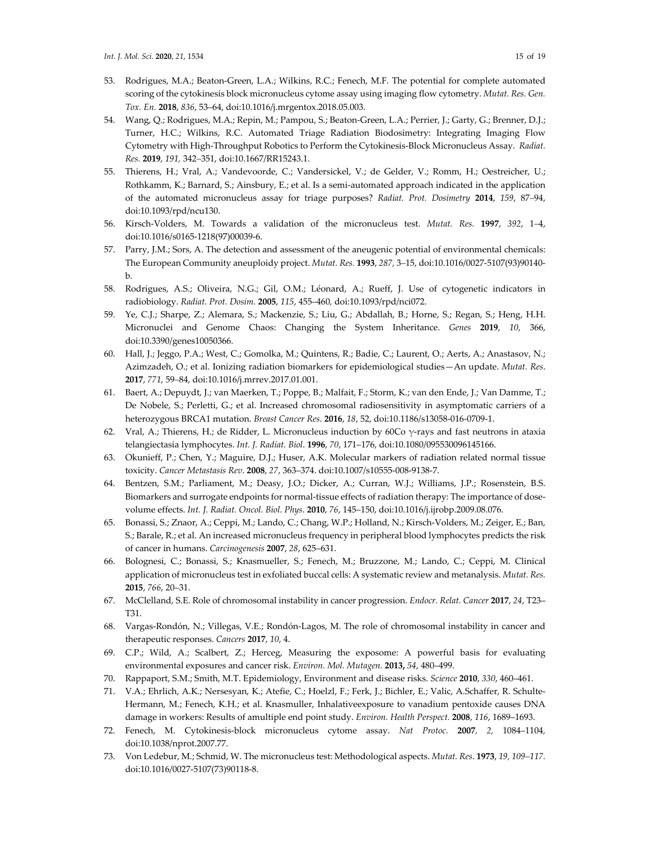- 53. Rodrigues, M.A.; Beaton‐Green, L.A.; Wilkins, R.C.; Fenech, M.F. The potential for complete automated scoring of the cytokinesis block micronucleus cytome assay using imaging flow cytometry. *Mutat. Res. Gen. Tox. En.* **2018**, *836*, 53–64, doi:10.1016/j.mrgentox.2018.05.003.
- 54. Wang, Q.; Rodrigues, M.A.; Repin, M.; Pampou, S.; Beaton‐Green, L.A.; Perrier, J.; Garty, G.; Brenner, D.J.; Turner, H.C.; Wilkins, R.C. Automated Triage Radiation Biodosimetry: Integrating Imaging Flow Cytometry with High‐Throughput Robotics to Perform the Cytokinesis‐Block Micronucleus Assay. *Radiat. Res.* **2019**, *191,* 342*–*351, doi:10.1667/RR15243.1.
- 55. Thierens, H.; Vral, A.; Vandevoorde, C.; Vandersickel, V.; de Gelder, V.; Romm, H.; Oestreicher, U.; Rothkamm, K.; Barnard, S.; Ainsbury, E.; et al. Is a semi‐automated approach indicated in the application of the automated micronucleus assay for triage purposes? *Radiat. Prot. Dosimetry* **2014**, *159*, 87*–*94, doi:10.1093/rpd/ncu130.
- 56. Kirsch‐Volders, M. Towards a validation of the micronucleus test. *Mutat. Res.* **1997**, *392*, 1*–*4, doi:10.1016/s0165‐1218(97)00039‐6.
- 57. Parry, J.M.; Sors, A. The detection and assessment of the aneugenic potential of environmental chemicals: The European Community aneuploidy project. *Mutat. Res.* **1993**, *287,* 3*–*15, doi:10.1016/0027‐5107(93)90140‐ b.
- 58. Rodrigues, A.S.; Oliveira, N.G.; Gil, O.M.; Léonard, A.; Rueff, J. Use of cytogenetic indicators in radiobiology. *Radiat. Prot. Dosim.* **2005**, *115*, 455–460*,* doi:10.1093/rpd/nci072.
- 59. Ye, C.J.; Sharpe, Z.; Alemara, S.; Mackenzie, S.; Liu, G.; Abdallah, B.; Horne, S.; Regan, S.; Heng, H.H. Micronuclei and Genome Chaos: Changing the System Inheritance. *Genes* **2019**, *10*, 366, doi:10.3390/genes10050366.
- 60. Hall, J.; Jeggo, P.A.; West, C.; Gomolka, M.; Quintens, R.; Badie, C.; Laurent, O.; Aerts, A.; Anastasov, N.; Azimzadeh, O.; et al. Ionizing radiation biomarkers for epidemiological studies—An update. *Mutat. Res*. **2017**, *771*, 59*–*84, doi:10.1016/j.mrrev.2017.01.001.
- 61. Baert, A.; Depuydt, J.; van Maerken, T.; Poppe, B.; Malfait, F.; Storm, K.; van den Ende, J.; Van Damme, T.; De Nobele, S.; Perletti, G.; et al. Increased chromosomal radiosensitivity in asymptomatic carriers of a heterozygous BRCA1 mutation. *Breast Cancer Res*. **2016**, *18*, 52, doi:10.1186/s13058‐016‐0709‐1.
- 62. Vral, A.; Thierens, H.; de Ridder, L. Micronucleus induction by 60Co  $\gamma$ -rays and fast neutrons in ataxia telangiectasia lymphocytes. *Int. J. Radiat. Biol*. **1996**, *70*, 171–176, doi:10.1080/095530096145166.
- 63. Okunieff, P.; Chen, Y.; Maguire, D.J.; Huser, A.K. Molecular markers of radiation related normal tissue toxicity. *Cancer Metastasis Rev*. **2008**, *27*, 363–374. doi:10.1007/s10555‐008‐9138‐7.
- 64. Bentzen, S.M.; Parliament, M.; Deasy, J.O.; Dicker, A.; Curran, W.J.; Williams, J.P.; Rosenstein, B.S. Biomarkers and surrogate endpoints for normal-tissue effects of radiation therapy: The importance of dosevolume effects. *Int. J. Radiat. Oncol. Biol. Phys*. **2010**, *76*, 145–150, doi:10.1016/j.ijrobp.2009.08.076.
- 65. Bonassi, S.; Znaor, A.; Ceppi, M.; Lando, C.; Chang, W.P.; Holland, N.; Kirsch‐Volders, M.; Zeiger, E.; Ban, S.; Barale, R.; et al. An increased micronucleus frequency in peripheral blood lymphocytes predicts the risk of cancer in humans. *Carcinogenesis* **2007**, *28*, 625–631.
- 66. Bolognesi, C.; Bonassi, S.; Knasmueller, S.; Fenech, M.; Bruzzone, M.; Lando, C.; Ceppi, M. Clinical application of micronucleus test in exfoliated buccal cells: A systematic review and metanalysis. *Mutat. Res.* **2015**, *766*, 20–31.
- 67. McClelland, S.E. Role of chromosomal instability in cancer progression. *Endocr. Relat. Cancer* **2017**, *24*, T23– T31.
- 68. Vargas‐Rondón, N.; Villegas, V.E.; Rondón‐Lagos, M. The role of chromosomal instability in cancer and therapeutic responses. *Cancers* **2017**, *10*, 4.
- 69. C.P.; Wild, A.; Scalbert, Z.; Herceg, Measuring the exposome: A powerful basis for evaluating environmental exposures and cancer risk. *Environ. Mol. Mutagen.* **2013,** *54*, 480–499.
- 70. Rappaport, S.M.; Smith, M.T. Epidemiology, Environment and disease risks. *Science* **2010**, *330*, 460–461.
- 71. V.A.; Ehrlich, A.K.; Nersesyan, K.; Atefie, C.; Hoelzl, F.; Ferk, J.; Bichler, E.; Valic, A.Schaffer, R. Schulte‐ Hermann, M.; Fenech, K.H.; et al. Knasmuller, Inhalativeexposure to vanadium pentoxide causes DNA damage in workers: Results of amultiple end point study. *Environ. Health Perspect.* **2008**, *116*, 1689–1693.
- 72. Fenech, M. Cytokinesis‐block micronucleus cytome assay. *Nat Protoc.* **2007***, 2,* 1084–1104*,* doi:10.1038/nprot.2007.77.
- 73. Von Ledebur, M.; Schmid, W. The micronucleus test: Methodological aspects. *Mutat. Res*. **1973**, *19, 109–117.* doi:10.1016/0027‐5107(73)90118‐8.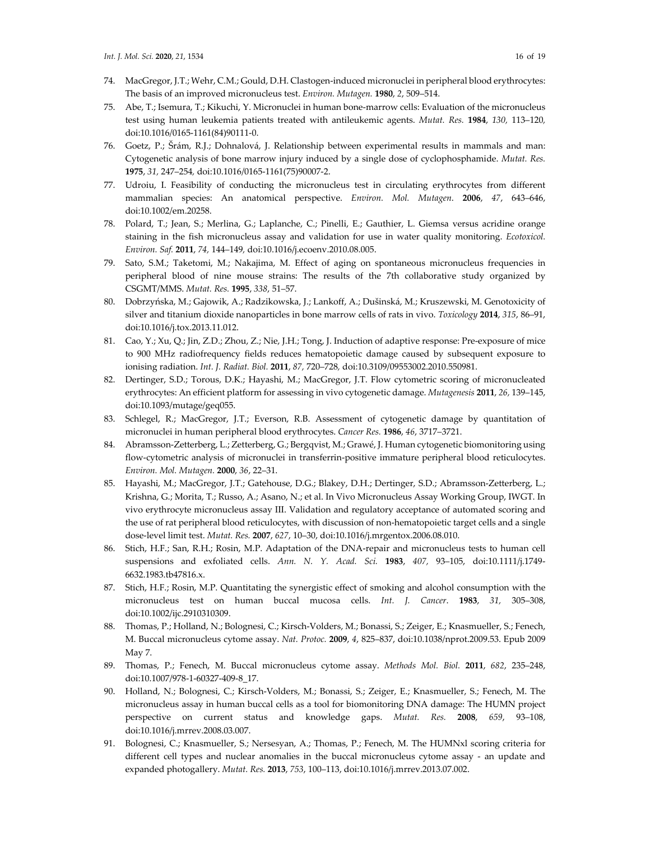- 75. Abe, T.; Isemura, T.; Kikuchi, Y. Micronuclei in human bone‐marrow cells: Evaluation of the micronucleus test using human leukemia patients treated with antileukemic agents. *Mutat. Res.* **1984**, *130,* 113–120*,* doi:10.1016/0165‐1161(84)90111‐0.
- 76. Goetz, P.; Šrám, R.J.; Dohnalová, J. Relationship between experimental results in mammals and man: Cytogenetic analysis of bone marrow injury induced by a single dose of cyclophosphamide. *Mutat. Res.* **1975**, *31,* 247–254*,* doi:10.1016/0165‐1161(75)90007‐2.
- 77. Udroiu, I. Feasibility of conducting the micronucleus test in circulating erythrocytes from different mammalian species: An anatomical perspective. *Environ. Mol. Mutagen*. **2006**, *47*, 643–646, doi:10.1002/em.20258.
- 78. Polard, T.; Jean, S.; Merlina, G.; Laplanche, C.; Pinelli, E.; Gauthier, L. Giemsa versus acridine orange staining in the fish micronucleus assay and validation for use in water quality monitoring. *Ecotoxicol. Environ. Saf.* **2011**, *74,* 144–149*,* doi:10.1016/j.ecoenv.2010.08.005.
- 79. Sato, S.M.; Taketomi, M.; Nakajima, M. Effect of aging on spontaneous micronucleus frequencies in peripheral blood of nine mouse strains: The results of the 7th collaborative study organized by CSGMT/MMS. *Mutat. Res.* **1995**, *338*, 51–57.
- 80. Dobrzyńska, M.; Gajowik, A.; Radzikowska, J.; Lankoff, A.; Dušinská, M.; Kruszewski, M. Genotoxicity of silver and titanium dioxide nanoparticles in bone marrow cells of rats in vivo. *Toxicology* **2014**, *315*, 86–91, doi:10.1016/j.tox.2013.11.012.
- 81. Cao, Y.; Xu, Q.; Jin, Z.D.; Zhou, Z.; Nie, J.H.; Tong, J. Induction of adaptive response: Pre-exposure of mice to 900 MHz radiofrequency fields reduces hematopoietic damage caused by subsequent exposure to ionising radiation. *Int. J. Radiat. Biol.* **2011**, *87,* 720–728*,* doi:10.3109/09553002.2010.550981.
- 82. Dertinger, S.D.; Torous, D.K.; Hayashi, M.; MacGregor, J.T. Flow cytometric scoring of micronucleated erythrocytes: An efficient platform for assessing in vivo cytogenetic damage. *Mutagenesis* **2011**, *26,* 139–145, doi:10.1093/mutage/geq055.
- 83. Schlegel, R.; MacGregor, J.T.; Everson, R.B. Assessment of cytogenetic damage by quantitation of micronuclei in human peripheral blood erythrocytes. *Cancer Res.* **1986**, *46*, 3717–3721.
- 84. Abramsson-Zetterberg, L.; Zetterberg, G.; Bergqvist, M.; Grawé, J. Human cytogenetic biomonitoring using flow-cytometric analysis of micronuclei in transferrin-positive immature peripheral blood reticulocytes. *Environ. Mol. Mutagen.* **2000**, *36*, 22–31.
- 85. Hayashi, M.; MacGregor, J.T.; Gatehouse, D.G.; Blakey, D.H.; Dertinger, S.D.; Abramsson-Zetterberg, L.; Krishna, G.; Morita, T.; Russo, A.; Asano, N.; et al. In Vivo Micronucleus Assay Working Group, IWGT. In vivo erythrocyte micronucleus assay III. Validation and regulatory acceptance of automated scoring and the use of rat peripheral blood reticulocytes, with discussion of non-hematopoietic target cells and a single dose‐level limit test. *Mutat. Res.* **2007**, *627*, 10–30, doi:10.1016/j.mrgentox.2006.08.010.
- 86. Stich, H.F.; San, R.H.; Rosin, M.P. Adaptation of the DNA‐repair and micronucleus tests to human cell suspensions and exfoliated cells. *Ann. N. Y. Acad. Sci.* **1983**, *407,* 93–105, doi:10.1111/j.1749‐ 6632.1983.tb47816.x.
- 87. Stich, H.F.; Rosin, M.P. Quantitating the synergistic effect of smoking and alcohol consumption with the micronucleus test on human buccal mucosa cells. *Int. J. Cancer*. **1983**, *31,* 305–308, doi:10.1002/ijc.2910310309.
- 88. Thomas, P.; Holland, N.; Bolognesi, C.; Kirsch-Volders, M.; Bonassi, S.; Zeiger, E.; Knasmueller, S.; Fenech, M. Buccal micronucleus cytome assay. *Nat. Protoc.* **2009**, *4*, 825–837, doi:10.1038/nprot.2009.53. Epub 2009 May 7.
- 89. Thomas, P.; Fenech, M. Buccal micronucleus cytome assay. *Methods Mol. Biol.* **2011**, *682*, 235–248, doi:10.1007/978‐1‐60327‐409‐8\_17.
- 90. Holland, N.; Bolognesi, C.; Kirsch-Volders, M.; Bonassi, S.; Zeiger, E.; Knasmueller, S.; Fenech, M. The micronucleus assay in human buccal cells as a tool for biomonitoring DNA damage: The HUMN project perspective on current status and knowledge gaps. *Mutat. Res.* **2008**, *659*, 93–108, doi:10.1016/j.mrrev.2008.03.007.
- 91. Bolognesi, C.; Knasmueller, S.; Nersesyan, A.; Thomas, P.; Fenech, M. The HUMNxl scoring criteria for different cell types and nuclear anomalies in the buccal micronucleus cytome assay ‐ an update and expanded photogallery. *Mutat. Res.* **2013**, *753*, 100–113, doi:10.1016/j.mrrev.2013.07.002.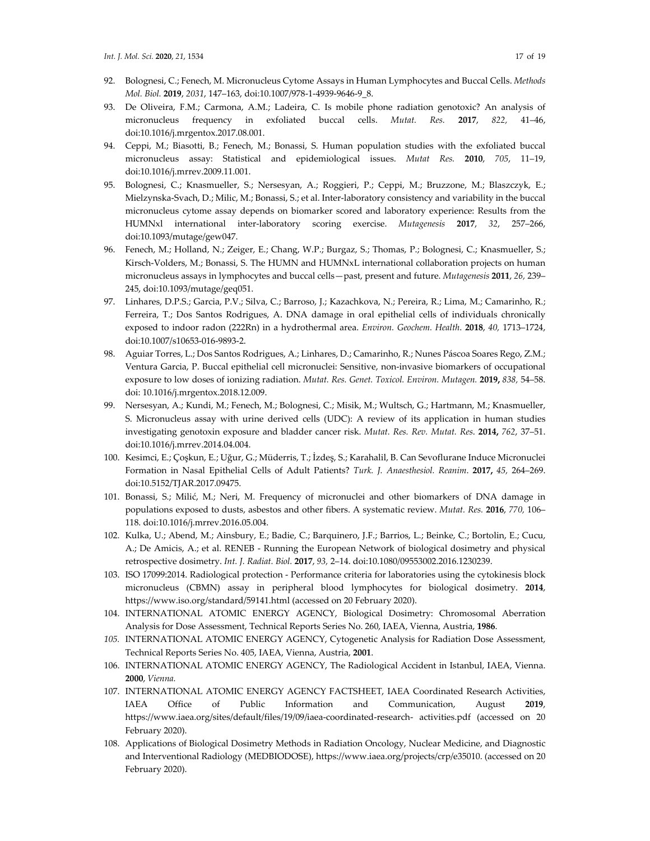- 92. Bolognesi, C.; Fenech, M. Micronucleus Cytome Assays in Human Lymphocytes and Buccal Cells. *Methods Mol. Biol.* **2019**, *2031*, 147–163, doi:10.1007/978‐1‐4939‐9646‐9\_8.
- 93. De Oliveira, F.M.; Carmona, A.M.; Ladeira, C. Is mobile phone radiation genotoxic? An analysis of micronucleus frequency in exfoliated buccal cells. *Mutat. Res.* **2017**, *822,* 41–46, doi:10.1016/j.mrgentox.2017.08.001.
- 94. Ceppi, M.; Biasotti, B.; Fenech, M.; Bonassi, S. Human population studies with the exfoliated buccal micronucleus assay: Statistical and epidemiological issues. *Mutat Res.* **2010**, *705*, 11–19, doi:10.1016/j.mrrev.2009.11.001.
- 95. Bolognesi, C.; Knasmueller, S.; Nersesyan, A.; Roggieri, P.; Ceppi, M.; Bruzzone, M.; Blaszczyk, E.; Mielzynska‐Svach, D.; Milic, M.; Bonassi, S.; et al. Inter‐laboratory consistency and variability in the buccal micronucleus cytome assay depends on biomarker scored and laboratory experience: Results from the HUMNxl international inter‐laboratory scoring exercise. *Mutagenesis* **2017**, *32*, 257–266, doi:10.1093/mutage/gew047.
- 96. Fenech, M.; Holland, N.; Zeiger, E.; Chang, W.P.; Burgaz, S.; Thomas, P.; Bolognesi, C.; Knasmueller, S.; Kirsch‐Volders, M.; Bonassi, S. The HUMN and HUMNxL international collaboration projects on human micronucleus assays in lymphocytes and buccal cells—past, present and future. *Mutagenesis* **2011**, *26,* 239– 245, doi:10.1093/mutage/geq051.
- 97. Linhares, D.P.S.; Garcia, P.V.; Silva, C.; Barroso, J.; Kazachkova, N.; Pereira, R.; Lima, M.; Camarinho, R.; Ferreira, T.; Dos Santos Rodrigues, A. DNA damage in oral epithelial cells of individuals chronically exposed to indoor radon (222Rn) in a hydrothermal area. *Environ. Geochem. Health*. **2018**, *40,* 1713–1724, doi:10.1007/s10653‐016‐9893‐2.
- 98. Aguiar Torres, L.; Dos Santos Rodrigues, A.; Linhares, D.; Camarinho, R.; Nunes Páscoa Soares Rego, Z.M.; Ventura Garcia, P. Buccal epithelial cell micronuclei: Sensitive, non‐invasive biomarkers of occupational exposure to low doses of ionizing radiation. *Mutat. Res. Genet. Toxicol. Environ. Mutagen.* **2019,** *838,* 54–58. doi: 10.1016/j.mrgentox.2018.12.009.
- 99. Nersesyan, A.; Kundi, M.; Fenech, M.; Bolognesi, C.; Misik, M.; Wultsch, G.; Hartmann, M.; Knasmueller, S. Micronucleus assay with urine derived cells (UDC): A review of its application in human studies investigating genotoxin exposure and bladder cancer risk. *Mutat. Res. Rev. Mutat. Res*. **2014,** *762*, 37–51. doi:10.1016/j.mrrev.2014.04.004.
- 100. Kesimci, E.; Çoşkun, E.; Uğur, G.; Müderris, T.; İzdeş, S.; Karahalil, B. Can Sevoflurane Induce Micronuclei Formation in Nasal Epithelial Cells of Adult Patients? *Turk. J. Anaesthesiol. Reanim*. **2017,** *45,* 264–269. doi:10.5152/TJAR.2017.09475.
- 101. Bonassi, S.; Milić, M.; Neri, M. Frequency of micronuclei and other biomarkers of DNA damage in populations exposed to dusts, asbestos and other fibers. A systematic review. *Mutat. Res.* **2016**, *770,* 106– 118. doi:10.1016/j.mrrev.2016.05.004.
- 102. Kulka, U.; Abend, M.; Ainsbury, E.; Badie, C.; Barquinero, J.F.; Barrios, L.; Beinke, C.; Bortolin, E.; Cucu, A.; De Amicis, A.; et al. RENEB ‐ Running the European Network of biological dosimetry and physical retrospective dosimetry. *Int. J. Radiat. Biol.* **2017**, *93,* 2–14. doi:10.1080/09553002.2016.1230239.
- 103. ISO 17099:2014. Radiological protection ‐ Performance criteria for laboratories using the cytokinesis block micronucleus (CBMN) assay in peripheral blood lymphocytes for biological dosimetry. **2014**, https://www.iso.org/standard/59141.html (accessed on 20 February 2020).
- 104. INTERNATIONAL ATOMIC ENERGY AGENCY, Biological Dosimetry: Chromosomal Aberration Analysis for Dose Assessment, Technical Reports Series No. 260, IAEA, Vienna, Austria, **1986**.
- *105.* INTERNATIONAL ATOMIC ENERGY AGENCY, Cytogenetic Analysis for Radiation Dose Assessment, Technical Reports Series No. 405, IAEA, Vienna, Austria, **2001**.
- 106. INTERNATIONAL ATOMIC ENERGY AGENCY, The Radiological Accident in Istanbul, IAEA, Vienna. **2000**, *Vienna.*
- 107. INTERNATIONAL ATOMIC ENERGY AGENCY FACTSHEET, IAEA Coordinated Research Activities, IAEA Office of Public Information and Communication, August **2019**, https://www.iaea.org/sites/default/files/19/09/iaea‐coordinated‐research‐ activities.pdf (accessed on 20 February 2020).
- 108. Applications of Biological Dosimetry Methods in Radiation Oncology, Nuclear Medicine, and Diagnostic and Interventional Radiology (MEDBIODOSE), https://www.iaea.org/projects/crp/e35010. (accessed on 20 February 2020).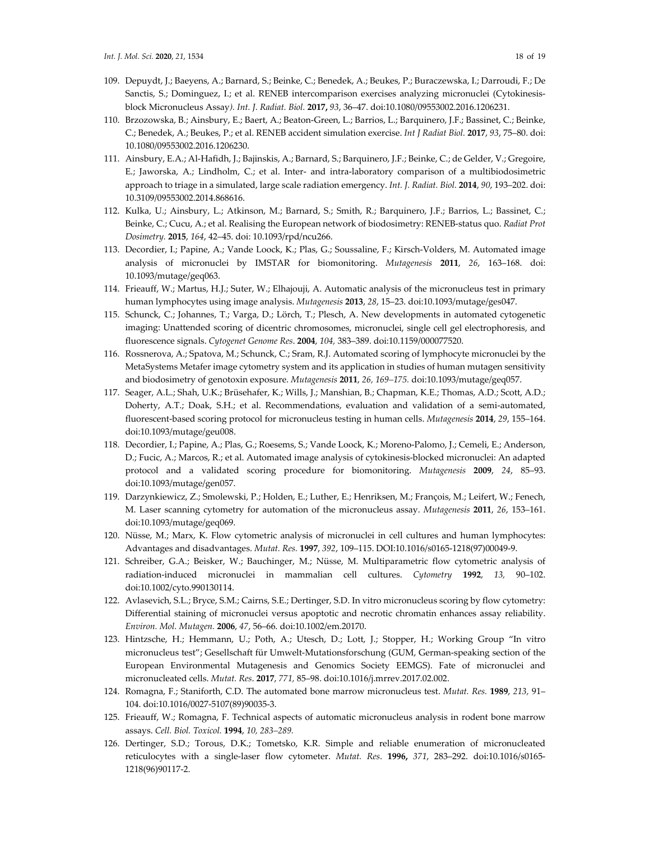- 109. Depuydt, J.; Baeyens, A.; Barnard, S.; Beinke, C.; Benedek, A.; Beukes, P.; Buraczewska, I.; Darroudi, F.; De Sanctis, S.; Dominguez, I.; et al. RENEB intercomparison exercises analyzing micronuclei (Cytokinesis‐ block Micronucleus Assay*). Int. J. Radiat. Biol.* **2017,** *93*, 36–47. doi:10.1080/09553002.2016.1206231.
- 110. Brzozowska, B.; Ainsbury, E.; Baert, A.; Beaton‐Green, L.; Barrios, L.; Barquinero, J.F.; Bassinet, C.; Beinke, C.; Benedek, A.; Beukes, P.; et al. RENEB accident simulation exercise. *Int J Radiat Biol.* **2017**, *93*, 75–80. doi: 10.1080/09553002.2016.1206230.
- 111. Ainsbury, E.A.; Al‐Hafidh, J.; Bajinskis, A.; Barnard, S.; Barquinero, J.F.; Beinke, C.; de Gelder, V.; Gregoire, E.; Jaworska, A.; Lindholm, C.; et al. Inter- and intra-laboratory comparison of a multibiodosimetric approach to triage in a simulated, large scale radiation emergency. *Int. J. Radiat. Biol.* **2014**, *90*, 193–202. doi: 10.3109/09553002.2014.868616.
- 112. Kulka, U.; Ainsbury, L.; Atkinson, M.; Barnard, S.; Smith, R.; Barquinero, J.F.; Barrios, L.; Bassinet, C.; Beinke, C.; Cucu, A.; et al. Realising the European network of biodosimetry: RENEB‐status quo. *Radiat Prot Dosimetry.* **2015**, *164*, 42–45. doi: 10.1093/rpd/ncu266.
- 113. Decordier, I.; Papine, A.; Vande Loock, K.; Plas, G.; Soussaline, F.; Kirsch‐Volders, M. Automated image analysis of micronuclei by IMSTAR for biomonitoring. *Mutagenesis* **2011**, *26*, 163–168. doi: 10.1093/mutage/geq063.
- 114. Frieauff, W.; Martus, H.J.; Suter, W.; Elhajouji, A. Automatic analysis of the micronucleus test in primary human lymphocytes using image analysis. *Mutagenesis* **2013**, *28*, 15–23. doi:10.1093/mutage/ges047.
- 115. Schunck, C.; Johannes, T.; Varga, D.; Lörch, T.; Plesch, A. New developments in automated cytogenetic imaging: Unattended scoring of dicentric chromosomes, micronuclei, single cell gel electrophoresis, and fluorescence signals. *Cytogenet Genome Res*. **2004**, *104,* 383–389. doi:10.1159/000077520.
- 116. Rossnerova, A.; Spatova, M.; Schunck, C.; Sram, R.J. Automated scoring of lymphocyte micronuclei by the MetaSystems Metafer image cytometry system and its application in studies of human mutagen sensitivity and biodosimetry of genotoxin exposure. *Mutagenesis* **2011**, *26, 169–175.* doi:10.1093/mutage/geq057.
- 117. Seager, A.L.; Shah, U.K.; Brüsehafer, K.; Wills, J.; Manshian, B.; Chapman, K.E.; Thomas, A.D.; Scott, A.D.; Doherty, A.T.; Doak, S.H.; et al. Recommendations, evaluation and validation of a semi‐automated, fluorescent‐based scoring protocol for micronucleus testing in human cells. *Mutagenesis* **2014**, *29*, 155–164. doi:10.1093/mutage/geu008.
- 118. Decordier, I.; Papine, A.; Plas, G.; Roesems, S.; Vande Loock, K.; Moreno‐Palomo, J.; Cemeli, E.; Anderson, D.; Fucic, A.; Marcos, R.; et al. Automated image analysis of cytokinesis‐blocked micronuclei: An adapted protocol and a validated scoring procedure for biomonitoring. *Mutagenesis* **2009**, *24*, 85–93. doi:10.1093/mutage/gen057.
- 119. Darzynkiewicz, Z.; Smolewski, P.; Holden, E.; Luther, E.; Henriksen, M.; François, M.; Leifert, W.; Fenech, M. Laser scanning cytometry for automation of the micronucleus assay. *Mutagenesis* **2011**, *26*, 153–161. doi:10.1093/mutage/geq069.
- 120. Nüsse, M.; Marx, K. Flow cytometric analysis of micronuclei in cell cultures and human lymphocytes: Advantages and disadvantages. *Mutat. Res.* **1997**, *392*, 109–115. DOI:10.1016/s0165‐1218(97)00049‐9.
- 121. Schreiber, G.A.; Beisker, W.; Bauchinger, M.; Nüsse, M. Multiparametric flow cytometric analysis of radiation‐induced micronuclei in mammalian cell cultures. *Cytometry* **1992**, *13,* 90–102. doi:10.1002/cyto.990130114.
- 122. Avlasevich, S.L.; Bryce, S.M.; Cairns, S.E.; Dertinger, S.D. In vitro micronucleus scoring by flow cytometry: Differential staining of micronuclei versus apoptotic and necrotic chromatin enhances assay reliability. *Environ. Mol. Mutagen.* **2006**, *47*, 56–66. doi:10.1002/em.20170.
- 123. Hintzsche, H.; Hemmann, U.; Poth, A.; Utesch, D.; Lott, J.; Stopper, H.; Working Group "In vitro micronucleus test"; Gesellschaft für Umwelt‐Mutationsforschung (GUM, German‐speaking section of the European Environmental Mutagenesis and Genomics Society EEMGS). Fate of micronuclei and micronucleated cells. *Mutat. Res*. **2017**, *771,* 85–98. doi:10.1016/j.mrrev.2017.02.002.
- 124. Romagna, F.; Staniforth, C.D. The automated bone marrow micronucleus test. *Mutat. Res.* **1989**, *213,* 91– 104. doi:10.1016/0027‐5107(89)90035‐3.
- 125. Frieauff, W.; Romagna, F. Technical aspects of automatic micronucleus analysis in rodent bone marrow assays. *Cell. Biol. Toxicol.* **1994**, *10, 283–289.*
- 126. Dertinger, S.D.; Torous, D.K.; Tometsko, K.R. Simple and reliable enumeration of micronucleated reticulocytes with a single‐laser flow cytometer. *Mutat. Res*. **1996,** *371*, 283–292. doi:10.1016/s0165‐ 1218(96)90117‐2.